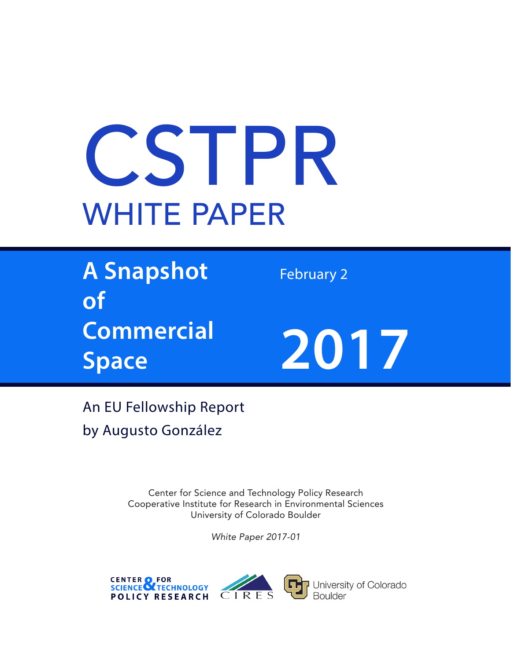# CSTPR WHITE PAPER

**A Snapshot of Commercial Space**

February 2



An EU Fellowship Report by Augusto González

> Center for Science and Technology Policy Research Cooperative Institute for Research in Environmental Sciences University of Colorado Boulder

> > *White Paper 2017-01*





University of Colorado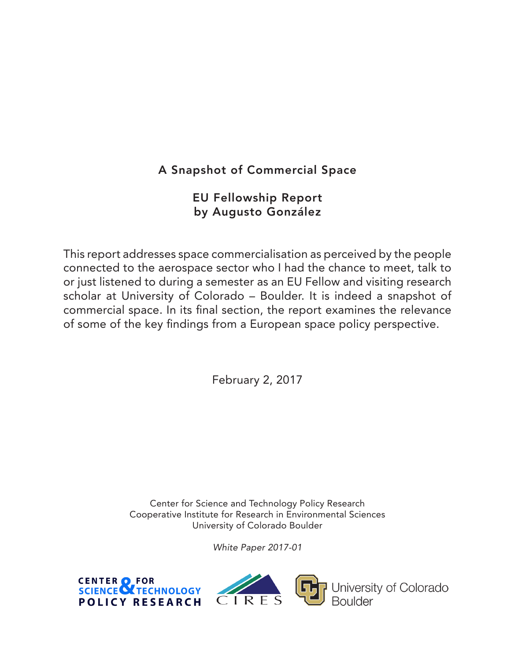## A Snapshot of Commercial Space

### EU Fellowship Report by Augusto González

This report addresses space commercialisation as perceived by the people connected to the aerospace sector who I had the chance to meet, talk to or just listened to during a semester as an EU Fellow and visiting research scholar at University of Colorado – Boulder. It is indeed a snapshot of commercial space. In its final section, the report examines the relevance of some of the key findings from a European space policy perspective.

February 2, 2017

Center for Science and Technology Policy Research Cooperative Institute for Research in Environmental Sciences University of Colorado Boulder

*White Paper 2017-01*





University of Colorado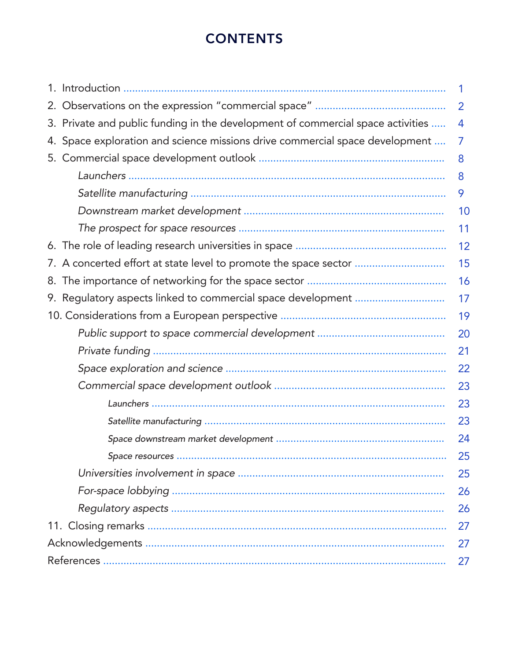# **CONTENTS**

|                                                                                 | 1  |
|---------------------------------------------------------------------------------|----|
|                                                                                 | 2  |
| 3. Private and public funding in the development of commercial space activities | 4  |
| 4. Space exploration and science missions drive commercial space development    | 7  |
|                                                                                 | 8  |
|                                                                                 | 8  |
|                                                                                 | 9  |
|                                                                                 | 10 |
|                                                                                 | 11 |
|                                                                                 | 12 |
| 7. A concerted effort at state level to promote the space sector                | 15 |
|                                                                                 | 16 |
|                                                                                 | 17 |
|                                                                                 | 19 |
|                                                                                 | 20 |
|                                                                                 | 21 |
|                                                                                 | 22 |
|                                                                                 | 23 |
|                                                                                 | 23 |
|                                                                                 | 23 |
|                                                                                 | 24 |
|                                                                                 | 25 |
|                                                                                 | 25 |
|                                                                                 | 26 |
|                                                                                 | 26 |
|                                                                                 | 27 |
|                                                                                 |    |
| 27                                                                              |    |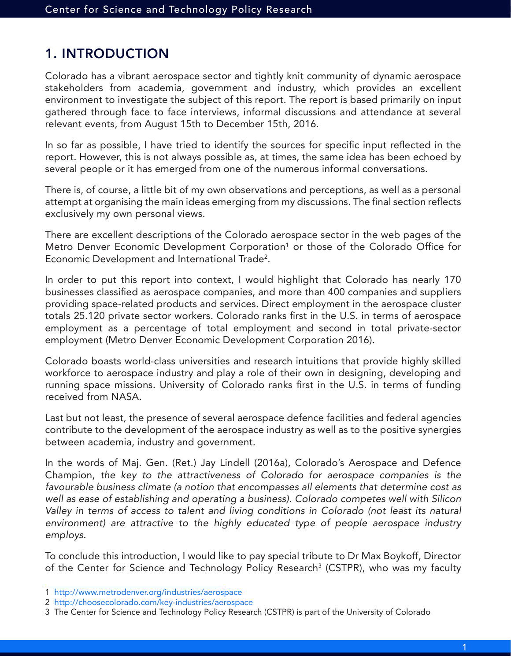## 1. INTRODUCTION

Colorado has a vibrant aerospace sector and tightly knit community of dynamic aerospace stakeholders from academia, government and industry, which provides an excellent environment to investigate the subject of this report. The report is based primarily on input gathered through face to face interviews, informal discussions and attendance at several relevant events, from August 15th to December 15th, 2016.

In so far as possible, I have tried to identify the sources for specific input reflected in the report. However, this is not always possible as, at times, the same idea has been echoed by several people or it has emerged from one of the numerous informal conversations.

There is, of course, a little bit of my own observations and perceptions, as well as a personal attempt at organising the main ideas emerging from my discussions. The final section reflects exclusively my own personal views.

There are excellent descriptions of the Colorado aerospace sector in the web pages of the Metro Denver Economic Development Corporation<sup>1</sup> or those of the Colorado Office for Economic Development and International Trade2 .

In order to put this report into context, I would highlight that Colorado has nearly 170 businesses classified as aerospace companies, and more than 400 companies and suppliers providing space-related products and services. Direct employment in the aerospace cluster totals 25.120 private sector workers. Colorado ranks first in the U.S. in terms of aerospace employment as a percentage of total employment and second in total private-sector employment (Metro Denver Economic Development Corporation 2016).

Colorado boasts world-class universities and research intuitions that provide highly skilled workforce to aerospace industry and play a role of their own in designing, developing and running space missions. University of Colorado ranks first in the U.S. in terms of funding received from NASA.

Last but not least, the presence of several aerospace defence facilities and federal agencies contribute to the development of the aerospace industry as well as to the positive synergies between academia, industry and government.

In the words of Maj. Gen. (Ret.) Jay Lindell (2016a), Colorado's Aerospace and Defence Champion, *the key to the attractiveness of Colorado for aerospace companies is the favourable business climate (a notion that encompasses all elements that determine cost as well as ease of establishing and operating a business). Colorado competes well with Silicon Valley in terms of access to talent and living conditions in Colorado (not least its natural*  environment) are attractive to the highly educated type of people aerospace industry *employs*.

To conclude this introduction, I would like to pay special tribute to Dr Max Boykoff, Director of the Center for Science and Technology Policy Research<sup>3</sup> (CSTPR), who was my faculty

1

<sup>1</sup> http://www.metrodenver.org/industries/aerospace

<sup>2</sup> http://choosecolorado.com/key-industries/aerospace

<sup>3</sup> The Center for Science and Technology Policy Research (CSTPR) is part of the University of Colorado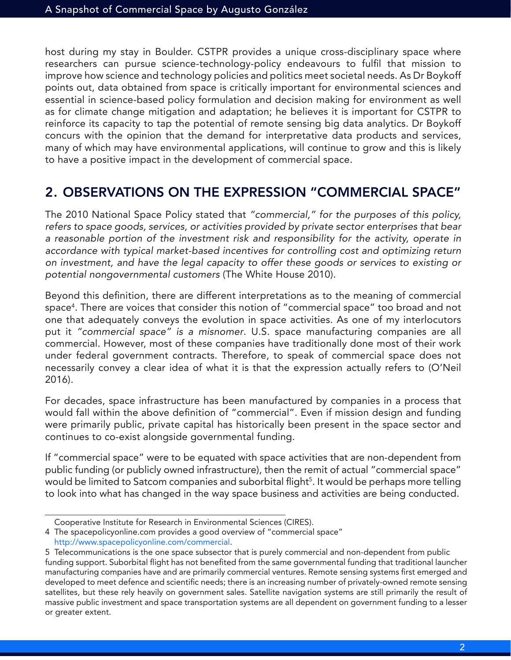host during my stay in Boulder. CSTPR provides a unique cross-disciplinary space where researchers can pursue science-technology-policy endeavours to fulfil that mission to improve how science and technology policies and politics meet societal needs. As Dr Boykoff points out, data obtained from space is critically important for environmental sciences and essential in science-based policy formulation and decision making for environment as well as for climate change mitigation and adaptation; he believes it is important for CSTPR to reinforce its capacity to tap the potential of remote sensing big data analytics. Dr Boykoff concurs with the opinion that the demand for interpretative data products and services, many of which may have environmental applications, will continue to grow and this is likely to have a positive impact in the development of commercial space.

## 2. OBSERVATIONS ON THE EXPRESSION "COMMERCIAL SPACE"

The 2010 National Space Policy stated that *"commercial," for the purposes of this policy, refers to space goods, services, or activities provided by private sector enterprises that bear a reasonable portion of the investment risk and responsibility for the activity, operate in*  accordance with typical market-based incentives for controlling cost and optimizing return *on investment, and have the legal capacity to offer these goods or services to existing or potential nongovernmental customers* (The White House 2010).

Beyond this definition, there are different interpretations as to the meaning of commercial space4 . There are voices that consider this notion of "commercial space" too broad and not one that adequately conveys the evolution in space activities. As one of my interlocutors put it *"commercial space" is a misnomer*. U.S. space manufacturing companies are all commercial. However, most of these companies have traditionally done most of their work under federal government contracts. Therefore, to speak of commercial space does not necessarily convey a clear idea of what it is that the expression actually refers to (O'Neil 2016).

For decades, space infrastructure has been manufactured by companies in a process that would fall within the above definition of "commercial". Even if mission design and funding were primarily public, private capital has historically been present in the space sector and continues to co-exist alongside governmental funding.

If "commercial space" were to be equated with space activities that are non-dependent from public funding (or publicly owned infrastructure), then the remit of actual "commercial space" would be limited to Satcom companies and suborbital flight<sup>5</sup>. It would be perhaps more telling to look into what has changed in the way space business and activities are being conducted.

Cooperative Institute for Research in Environmental Sciences (CIRES).

<sup>4</sup> The spacepolicyonline.com provides a good overview of "commercial space" http://www.spacepolicyonline.com/commercial.

<sup>5</sup> Telecommunications is the one space subsector that is purely commercial and non-dependent from public funding support. Suborbital flight has not benefited from the same governmental funding that traditional launcher manufacturing companies have and are primarily commercial ventures. Remote sensing systems first emerged and developed to meet defence and scientific needs; there is an increasing number of privately-owned remote sensing satellites, but these rely heavily on government sales. Satellite navigation systems are still primarily the result of massive public investment and space transportation systems are all dependent on government funding to a lesser or greater extent.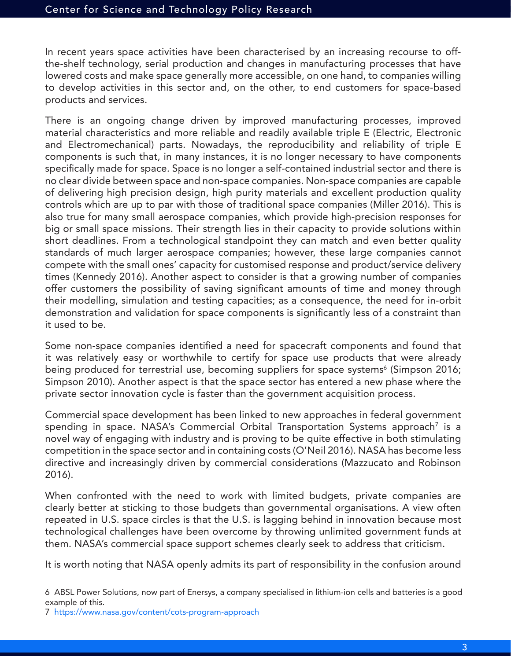In recent years space activities have been characterised by an increasing recourse to offthe-shelf technology, serial production and changes in manufacturing processes that have lowered costs and make space generally more accessible, on one hand, to companies willing to develop activities in this sector and, on the other, to end customers for space-based products and services.

There is an ongoing change driven by improved manufacturing processes, improved material characteristics and more reliable and readily available triple E (Electric, Electronic and Electromechanical) parts. Nowadays, the reproducibility and reliability of triple E components is such that, in many instances, it is no longer necessary to have components specifically made for space. Space is no longer a self-contained industrial sector and there is no clear divide between space and non-space companies. Non-space companies are capable of delivering high precision design, high purity materials and excellent production quality controls which are up to par with those of traditional space companies (Miller 2016). This is also true for many small aerospace companies, which provide high-precision responses for big or small space missions. Their strength lies in their capacity to provide solutions within short deadlines. From a technological standpoint they can match and even better quality standards of much larger aerospace companies; however, these large companies cannot compete with the small ones' capacity for customised response and product/service delivery times (Kennedy 2016). Another aspect to consider is that a growing number of companies offer customers the possibility of saving significant amounts of time and money through their modelling, simulation and testing capacities; as a consequence, the need for in-orbit demonstration and validation for space components is significantly less of a constraint than it used to be.

Some non-space companies identified a need for spacecraft components and found that it was relatively easy or worthwhile to certify for space use products that were already being produced for terrestrial use, becoming suppliers for space systems<sup>6</sup> (Simpson 2016; Simpson 2010). Another aspect is that the space sector has entered a new phase where the private sector innovation cycle is faster than the government acquisition process.

Commercial space development has been linked to new approaches in federal government spending in space. NASA's Commercial Orbital Transportation Systems approach<sup>7</sup> is a novel way of engaging with industry and is proving to be quite effective in both stimulating competition in the space sector and in containing costs (O'Neil 2016). NASA has become less directive and increasingly driven by commercial considerations (Mazzucato and Robinson 2016).

When confronted with the need to work with limited budgets, private companies are clearly better at sticking to those budgets than governmental organisations. A view often repeated in U.S. space circles is that the U.S. is lagging behind in innovation because most technological challenges have been overcome by throwing unlimited government funds at them. NASA's commercial space support schemes clearly seek to address that criticism.

It is worth noting that NASA openly admits its part of responsibility in the confusion around

<sup>6</sup> ABSL Power Solutions, now part of Enersys, a company specialised in lithium-ion cells and batteries is a good example of this.

<sup>7</sup> https://www.nasa.gov/content/cots-program-approach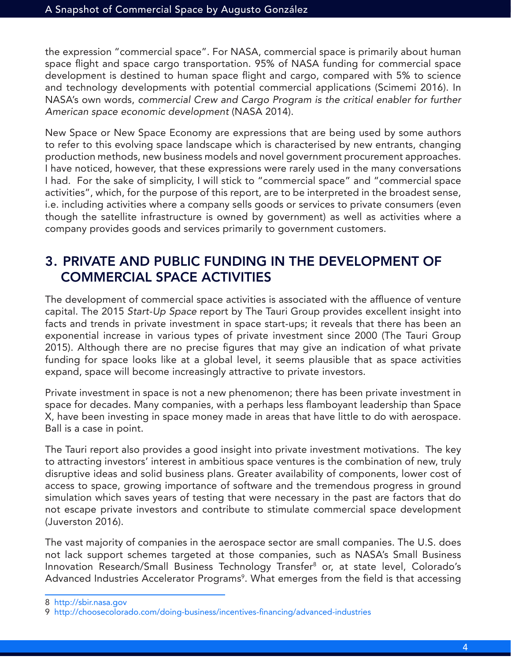the expression "commercial space". For NASA, commercial space is primarily about human space flight and space cargo transportation. 95% of NASA funding for commercial space development is destined to human space flight and cargo, compared with 5% to science and technology developments with potential commercial applications (Scimemi 2016). In NASA's own words, *commercial Crew and Cargo Program is the critical enabler for further American space economic development* (NASA 2014).

New Space or New Space Economy are expressions that are being used by some authors to refer to this evolving space landscape which is characterised by new entrants, changing production methods, new business models and novel government procurement approaches. I have noticed, however, that these expressions were rarely used in the many conversations I had. For the sake of simplicity, I will stick to "commercial space" and "commercial space activities", which, for the purpose of this report, are to be interpreted in the broadest sense, i.e. including activities where a company sells goods or services to private consumers (even though the satellite infrastructure is owned by government) as well as activities where a company provides goods and services primarily to government customers.

## 3. PRIVATE AND PUBLIC FUNDING IN THE DEVELOPMENT OF COMMERCIAL SPACE ACTIVITIES

The development of commercial space activities is associated with the affluence of venture capital. The 2015 *Start-Up Space* report by The Tauri Group provides excellent insight into facts and trends in private investment in space start-ups; it reveals that there has been an exponential increase in various types of private investment since 2000 (The Tauri Group 2015). Although there are no precise figures that may give an indication of what private funding for space looks like at a global level, it seems plausible that as space activities expand, space will become increasingly attractive to private investors.

Private investment in space is not a new phenomenon; there has been private investment in space for decades. Many companies, with a perhaps less flamboyant leadership than Space X, have been investing in space money made in areas that have little to do with aerospace. Ball is a case in point.

The Tauri report also provides a good insight into private investment motivations. The key to attracting investors' interest in ambitious space ventures is the combination of new, truly disruptive ideas and solid business plans. Greater availability of components, lower cost of access to space, growing importance of software and the tremendous progress in ground simulation which saves years of testing that were necessary in the past are factors that do not escape private investors and contribute to stimulate commercial space development (Juverston 2016).

The vast majority of companies in the aerospace sector are small companies. The U.S. does not lack support schemes targeted at those companies, such as NASA's Small Business Innovation Research/Small Business Technology Transfer<sup>8</sup> or, at state level, Colorado's Advanced Industries Accelerator Programs<sup>9</sup>. What emerges from the field is that accessing

<sup>8</sup> http://sbir.nasa.gov

<sup>9</sup> http://choosecolorado.com/doing-business/incentives-financing/advanced-industries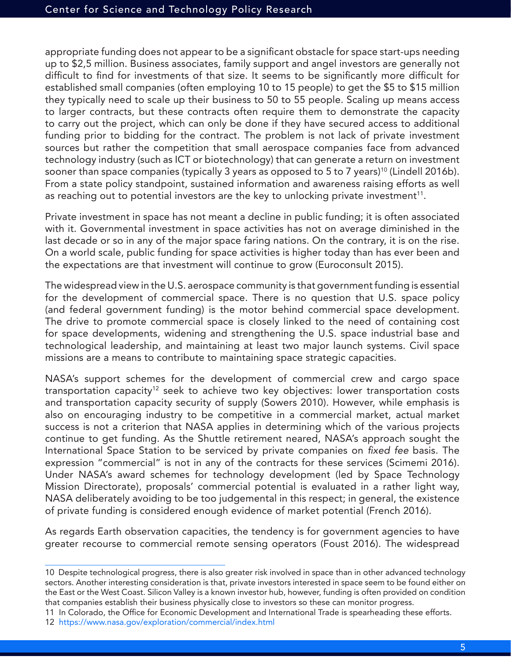appropriate funding does not appear to be a significant obstacle for space start-ups needing up to \$2,5 million. Business associates, family support and angel investors are generally not difficult to find for investments of that size. It seems to be significantly more difficult for established small companies (often employing 10 to 15 people) to get the \$5 to \$15 million they typically need to scale up their business to 50 to 55 people. Scaling up means access to larger contracts, but these contracts often require them to demonstrate the capacity to carry out the project, which can only be done if they have secured access to additional funding prior to bidding for the contract. The problem is not lack of private investment sources but rather the competition that small aerospace companies face from advanced technology industry (such as ICT or biotechnology) that can generate a return on investment sooner than space companies (typically 3 years as opposed to 5 to 7 years)<sup>10</sup> (Lindell 2016b). From a state policy standpoint, sustained information and awareness raising efforts as well as reaching out to potential investors are the key to unlocking private investment<sup>11</sup>.

Private investment in space has not meant a decline in public funding; it is often associated with it. Governmental investment in space activities has not on average diminished in the last decade or so in any of the major space faring nations. On the contrary, it is on the rise. On a world scale, public funding for space activities is higher today than has ever been and the expectations are that investment will continue to grow (Euroconsult 2015).

The widespread view in the U.S. aerospace community is that government funding is essential for the development of commercial space. There is no question that U.S. space policy (and federal government funding) is the motor behind commercial space development. The drive to promote commercial space is closely linked to the need of containing cost for space developments, widening and strengthening the U.S. space industrial base and technological leadership, and maintaining at least two major launch systems. Civil space missions are a means to contribute to maintaining space strategic capacities.

NASA's support schemes for the development of commercial crew and cargo space transportation capacity<sup>12</sup> seek to achieve two key objectives: lower transportation costs and transportation capacity security of supply (Sowers 2010). However, while emphasis is also on encouraging industry to be competitive in a commercial market, actual market success is not a criterion that NASA applies in determining which of the various projects continue to get funding. As the Shuttle retirement neared, NASA's approach sought the International Space Station to be serviced by private companies on fixed fee basis. The expression "commercial" is not in any of the contracts for these services (Scimemi 2016). Under NASA's award schemes for technology development (led by Space Technology Mission Directorate), proposals' commercial potential is evaluated in a rather light way, NASA deliberately avoiding to be too judgemental in this respect; in general, the existence of private funding is considered enough evidence of market potential (French 2016).

As regards Earth observation capacities, the tendency is for government agencies to have greater recourse to commercial remote sensing operators (Foust 2016). The widespread

<sup>10</sup> Despite technological progress, there is also greater risk involved in space than in other advanced technology sectors. Another interesting consideration is that, private investors interested in space seem to be found either on the East or the West Coast. Silicon Valley is a known investor hub, however, funding is often provided on condition that companies establish their business physically close to investors so these can monitor progress.

<sup>11</sup> In Colorado, the Office for Economic Development and International Trade is spearheading these efforts.

<sup>12</sup> https://www.nasa.gov/exploration/commercial/index.html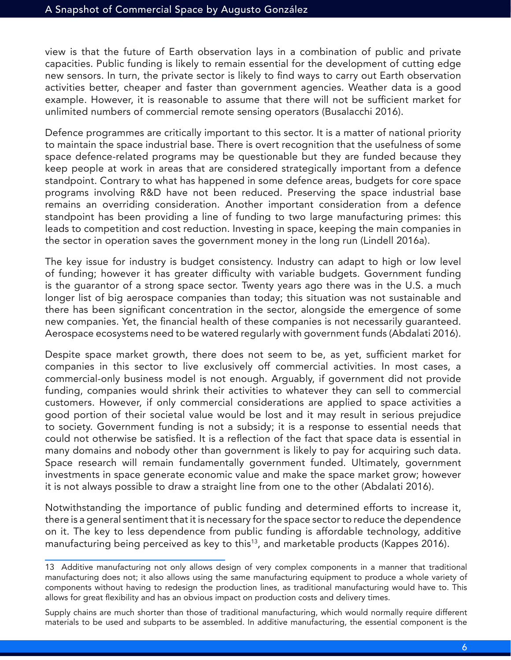view is that the future of Earth observation lays in a combination of public and private capacities. Public funding is likely to remain essential for the development of cutting edge new sensors. In turn, the private sector is likely to find ways to carry out Earth observation activities better, cheaper and faster than government agencies. Weather data is a good example. However, it is reasonable to assume that there will not be sufficient market for unlimited numbers of commercial remote sensing operators (Busalacchi 2016).

Defence programmes are critically important to this sector. It is a matter of national priority to maintain the space industrial base. There is overt recognition that the usefulness of some space defence-related programs may be questionable but they are funded because they keep people at work in areas that are considered strategically important from a defence standpoint. Contrary to what has happened in some defence areas, budgets for core space programs involving R&D have not been reduced. Preserving the space industrial base remains an overriding consideration. Another important consideration from a defence standpoint has been providing a line of funding to two large manufacturing primes: this leads to competition and cost reduction. Investing in space, keeping the main companies in the sector in operation saves the government money in the long run (Lindell 2016a).

The key issue for industry is budget consistency. Industry can adapt to high or low level of funding; however it has greater difficulty with variable budgets. Government funding is the guarantor of a strong space sector. Twenty years ago there was in the U.S. a much longer list of big aerospace companies than today; this situation was not sustainable and there has been significant concentration in the sector, alongside the emergence of some new companies. Yet, the financial health of these companies is not necessarily guaranteed. Aerospace ecosystems need to be watered regularly with government funds (Abdalati 2016).

Despite space market growth, there does not seem to be, as yet, sufficient market for companies in this sector to live exclusively off commercial activities. In most cases, a commercial-only business model is not enough. Arguably, if government did not provide funding, companies would shrink their activities to whatever they can sell to commercial customers. However, if only commercial considerations are applied to space activities a good portion of their societal value would be lost and it may result in serious prejudice to society. Government funding is not a subsidy; it is a response to essential needs that could not otherwise be satisfied. It is a reflection of the fact that space data is essential in many domains and nobody other than government is likely to pay for acquiring such data. Space research will remain fundamentally government funded. Ultimately, government investments in space generate economic value and make the space market grow; however it is not always possible to draw a straight line from one to the other (Abdalati 2016).

Notwithstanding the importance of public funding and determined efforts to increase it, there is a general sentiment that it is necessary for the space sector to reduce the dependence on it. The key to less dependence from public funding is affordable technology, additive manufacturing being perceived as key to this<sup>13</sup>, and marketable products (Kappes 2016).

Supply chains are much shorter than those of traditional manufacturing, which would normally require different materials to be used and subparts to be assembled. In additive manufacturing, the essential component is the

<sup>13</sup> Additive manufacturing not only allows design of very complex components in a manner that traditional manufacturing does not; it also allows using the same manufacturing equipment to produce a whole variety of components without having to redesign the production lines, as traditional manufacturing would have to. This allows for great flexibility and has an obvious impact on production costs and delivery times.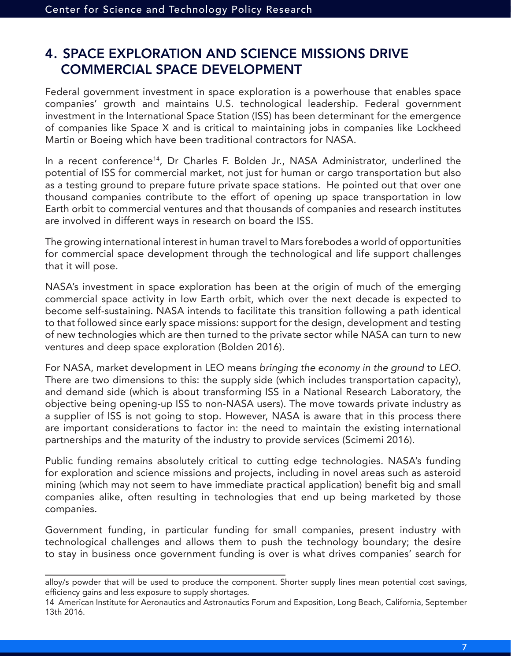## 4. SPACE EXPLORATION AND SCIENCE MISSIONS DRIVE COMMERCIAL SPACE DEVELOPMENT

Federal government investment in space exploration is a powerhouse that enables space companies' growth and maintains U.S. technological leadership. Federal government investment in the International Space Station (ISS) has been determinant for the emergence of companies like Space X and is critical to maintaining jobs in companies like Lockheed Martin or Boeing which have been traditional contractors for NASA.

In a recent conference<sup>14</sup>, Dr Charles F. Bolden Jr., NASA Administrator, underlined the potential of ISS for commercial market, not just for human or cargo transportation but also as a testing ground to prepare future private space stations. He pointed out that over one thousand companies contribute to the effort of opening up space transportation in low Earth orbit to commercial ventures and that thousands of companies and research institutes are involved in different ways in research on board the ISS.

The growing international interest in human travel to Mars forebodes a world of opportunities for commercial space development through the technological and life support challenges that it will pose.

NASA's investment in space exploration has been at the origin of much of the emerging commercial space activity in low Earth orbit, which over the next decade is expected to become self-sustaining. NASA intends to facilitate this transition following a path identical to that followed since early space missions: support for the design, development and testing of new technologies which are then turned to the private sector while NASA can turn to new ventures and deep space exploration (Bolden 2016).

For NASA, market development in LEO means *bringing the economy in the ground to LEO*. There are two dimensions to this: the supply side (which includes transportation capacity), and demand side (which is about transforming ISS in a National Research Laboratory, the objective being opening-up ISS to non-NASA users). The move towards private industry as a supplier of ISS is not going to stop. However, NASA is aware that in this process there are important considerations to factor in: the need to maintain the existing international partnerships and the maturity of the industry to provide services (Scimemi 2016).

Public funding remains absolutely critical to cutting edge technologies. NASA's funding for exploration and science missions and projects, including in novel areas such as asteroid mining (which may not seem to have immediate practical application) benefit big and small companies alike, often resulting in technologies that end up being marketed by those companies.

Government funding, in particular funding for small companies, present industry with technological challenges and allows them to push the technology boundary; the desire to stay in business once government funding is over is what drives companies' search for

alloy/s powder that will be used to produce the component. Shorter supply lines mean potential cost savings, efficiency gains and less exposure to supply shortages.

<sup>14</sup> American Institute for Aeronautics and Astronautics Forum and Exposition, Long Beach, California, September 13th 2016.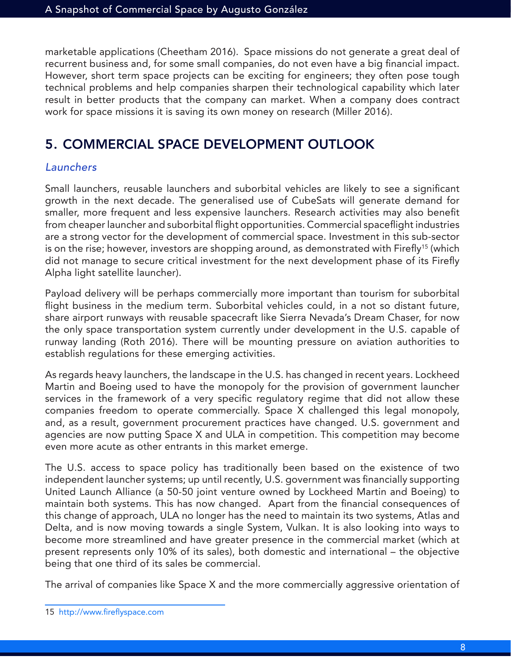marketable applications (Cheetham 2016). Space missions do not generate a great deal of recurrent business and, for some small companies, do not even have a big financial impact. However, short term space projects can be exciting for engineers; they often pose tough technical problems and help companies sharpen their technological capability which later result in better products that the company can market. When a company does contract work for space missions it is saving its own money on research (Miller 2016).

# 5. COMMERCIAL SPACE DEVELOPMENT OUTLOOK

#### *Launchers*

Small launchers, reusable launchers and suborbital vehicles are likely to see a significant growth in the next decade. The generalised use of CubeSats will generate demand for smaller, more frequent and less expensive launchers. Research activities may also benefit from cheaper launcher and suborbital flight opportunities. Commercial spaceflight industries are a strong vector for the development of commercial space. Investment in this sub-sector is on the rise; however, investors are shopping around, as demonstrated with Firefly<sup>15</sup> (which did not manage to secure critical investment for the next development phase of its Firefly Alpha light satellite launcher).

Payload delivery will be perhaps commercially more important than tourism for suborbital flight business in the medium term. Suborbital vehicles could, in a not so distant future, share airport runways with reusable spacecraft like Sierra Nevada's Dream Chaser, for now the only space transportation system currently under development in the U.S. capable of runway landing (Roth 2016). There will be mounting pressure on aviation authorities to establish regulations for these emerging activities.

As regards heavy launchers, the landscape in the U.S. has changed in recent years. Lockheed Martin and Boeing used to have the monopoly for the provision of government launcher services in the framework of a very specific regulatory regime that did not allow these companies freedom to operate commercially. Space X challenged this legal monopoly, and, as a result, government procurement practices have changed. U.S. government and agencies are now putting Space X and ULA in competition. This competition may become even more acute as other entrants in this market emerge.

The U.S. access to space policy has traditionally been based on the existence of two independent launcher systems; up until recently, U.S. government was financially supporting United Launch Alliance (a 50-50 joint venture owned by Lockheed Martin and Boeing) to maintain both systems. This has now changed. Apart from the financial consequences of this change of approach, ULA no longer has the need to maintain its two systems, Atlas and Delta, and is now moving towards a single System, Vulkan. It is also looking into ways to become more streamlined and have greater presence in the commercial market (which at present represents only 10% of its sales), both domestic and international – the objective being that one third of its sales be commercial.

The arrival of companies like Space X and the more commercially aggressive orientation of

<sup>15</sup> http://www.fireflyspace.com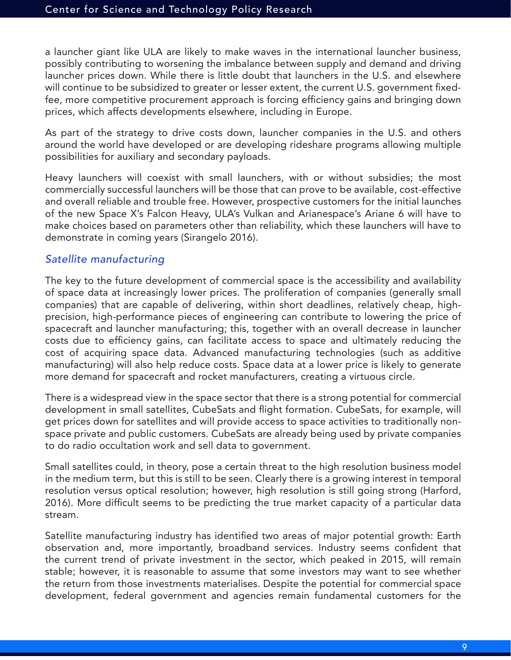a launcher giant like ULA are likely to make waves in the international launcher business, possibly contributing to worsening the imbalance between supply and demand and driving launcher prices down. While there is little doubt that launchers in the U.S. and elsewhere will continue to be subsidized to greater or lesser extent, the current U.S. government fixedfee, more competitive procurement approach is forcing efficiency gains and bringing down prices, which affects developments elsewhere, including in Europe.

As part of the strategy to drive costs down, launcher companies in the U.S. and others around the world have developed or are developing rideshare programs allowing multiple possibilities for auxiliary and secondary payloads.

Heavy launchers will coexist with small launchers, with or without subsidies; the most commercially successful launchers will be those that can prove to be available, cost-effective and overall reliable and trouble free. However, prospective customers for the initial launches of the new Space X's Falcon Heavy, ULA's Vulkan and Arianespace's Ariane 6 will have to make choices based on parameters other than reliability, which these launchers will have to demonstrate in coming years (Sirangelo 2016).

#### *Satellite manufacturing*

The key to the future development of commercial space is the accessibility and availability of space data at increasingly lower prices. The proliferation of companies (generally small companies) that are capable of delivering, within short deadlines, relatively cheap, highprecision, high-performance pieces of engineering can contribute to lowering the price of spacecraft and launcher manufacturing; this, together with an overall decrease in launcher costs due to efficiency gains, can facilitate access to space and ultimately reducing the cost of acquiring space data. Advanced manufacturing technologies (such as additive manufacturing) will also help reduce costs. Space data at a lower price is likely to generate more demand for spacecraft and rocket manufacturers, creating a virtuous circle.

There is a widespread view in the space sector that there is a strong potential for commercial development in small satellites, CubeSats and flight formation. CubeSats, for example, will get prices down for satellites and will provide access to space activities to traditionally nonspace private and public customers. CubeSats are already being used by private companies to do radio occultation work and sell data to government.

Small satellites could, in theory, pose a certain threat to the high resolution business model in the medium term, but this is still to be seen. Clearly there is a growing interest in temporal resolution versus optical resolution; however, high resolution is still going strong (Harford, 2016). More difficult seems to be predicting the true market capacity of a particular data stream.

Satellite manufacturing industry has identified two areas of major potential growth: Earth observation and, more importantly, broadband services. Industry seems confident that the current trend of private investment in the sector, which peaked in 2015, will remain stable; however, it is reasonable to assume that some investors may want to see whether the return from those investments materialises. Despite the potential for commercial space development, federal government and agencies remain fundamental customers for the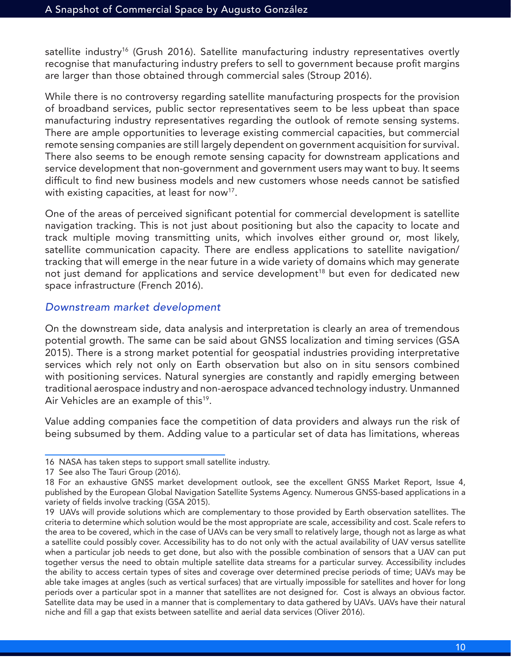satellite industry<sup>16</sup> (Grush 2016). Satellite manufacturing industry representatives overtly recognise that manufacturing industry prefers to sell to government because profit margins are larger than those obtained through commercial sales (Stroup 2016).

While there is no controversy regarding satellite manufacturing prospects for the provision of broadband services, public sector representatives seem to be less upbeat than space manufacturing industry representatives regarding the outlook of remote sensing systems. There are ample opportunities to leverage existing commercial capacities, but commercial remote sensing companies are still largely dependent on government acquisition for survival. There also seems to be enough remote sensing capacity for downstream applications and service development that non-government and government users may want to buy. It seems difficult to find new business models and new customers whose needs cannot be satisfied with existing capacities, at least for now<sup>17</sup>.

One of the areas of perceived significant potential for commercial development is satellite navigation tracking. This is not just about positioning but also the capacity to locate and track multiple moving transmitting units, which involves either ground or, most likely, satellite communication capacity. There are endless applications to satellite navigation/ tracking that will emerge in the near future in a wide variety of domains which may generate not just demand for applications and service development<sup>18</sup> but even for dedicated new space infrastructure (French 2016).

#### *Downstream market development*

On the downstream side, data analysis and interpretation is clearly an area of tremendous potential growth. The same can be said about GNSS localization and timing services (GSA 2015). There is a strong market potential for geospatial industries providing interpretative services which rely not only on Earth observation but also on in situ sensors combined with positioning services. Natural synergies are constantly and rapidly emerging between traditional aerospace industry and non-aerospace advanced technology industry. Unmanned Air Vehicles are an example of this<sup>19</sup>.

Value adding companies face the competition of data providers and always run the risk of being subsumed by them. Adding value to a particular set of data has limitations, whereas

<sup>16</sup> NASA has taken steps to support small satellite industry.

<sup>17</sup> See also The Tauri Group (2016).

<sup>18</sup> For an exhaustive GNSS market development outlook, see the excellent GNSS Market Report, Issue 4, published by the European Global Navigation Satellite Systems Agency. Numerous GNSS-based applications in a variety of fields involve tracking (GSA 2015).

<sup>19</sup> UAVs will provide solutions which are complementary to those provided by Earth observation satellites. The criteria to determine which solution would be the most appropriate are scale, accessibility and cost. Scale refers to the area to be covered, which in the case of UAVs can be very small to relatively large, though not as large as what a satellite could possibly cover. Accessibility has to do not only with the actual availability of UAV versus satellite when a particular job needs to get done, but also with the possible combination of sensors that a UAV can put together versus the need to obtain multiple satellite data streams for a particular survey. Accessibility includes the ability to access certain types of sites and coverage over determined precise periods of time; UAVs may be able take images at angles (such as vertical surfaces) that are virtually impossible for satellites and hover for long periods over a particular spot in a manner that satellites are not designed for. Cost is always an obvious factor. Satellite data may be used in a manner that is complementary to data gathered by UAVs. UAVs have their natural niche and fill a gap that exists between satellite and aerial data services (Oliver 2016).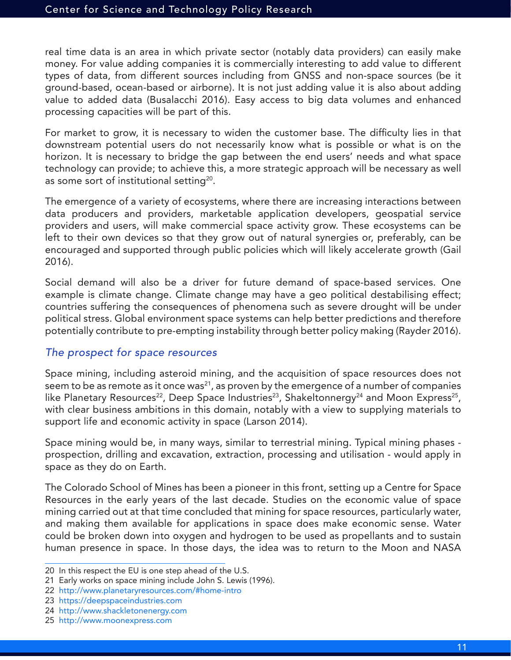real time data is an area in which private sector (notably data providers) can easily make money. For value adding companies it is commercially interesting to add value to different types of data, from different sources including from GNSS and non-space sources (be it ground-based, ocean-based or airborne). It is not just adding value it is also about adding value to added data (Busalacchi 2016). Easy access to big data volumes and enhanced processing capacities will be part of this.

For market to grow, it is necessary to widen the customer base. The difficulty lies in that downstream potential users do not necessarily know what is possible or what is on the horizon. It is necessary to bridge the gap between the end users' needs and what space technology can provide; to achieve this, a more strategic approach will be necessary as well as some sort of institutional setting<sup>20</sup>.

The emergence of a variety of ecosystems, where there are increasing interactions between data producers and providers, marketable application developers, geospatial service providers and users, will make commercial space activity grow. These ecosystems can be left to their own devices so that they grow out of natural synergies or, preferably, can be encouraged and supported through public policies which will likely accelerate growth (Gail 2016).

Social demand will also be a driver for future demand of space-based services. One example is climate change. Climate change may have a geo political destabilising effect; countries suffering the consequences of phenomena such as severe drought will be under political stress. Global environment space systems can help better predictions and therefore potentially contribute to pre-empting instability through better policy making (Rayder 2016).

#### *The prospect for space resources*

Space mining, including asteroid mining, and the acquisition of space resources does not seem to be as remote as it once was<sup>21</sup>, as proven by the emergence of a number of companies like Planetary Resources<sup>22</sup>, Deep Space Industries<sup>23</sup>, Shakeltonnergy<sup>24</sup> and Moon Express<sup>25</sup>, with clear business ambitions in this domain, notably with a view to supplying materials to support life and economic activity in space (Larson 2014).

Space mining would be, in many ways, similar to terrestrial mining. Typical mining phases prospection, drilling and excavation, extraction, processing and utilisation - would apply in space as they do on Earth.

The Colorado School of Mines has been a pioneer in this front, setting up a Centre for Space Resources in the early years of the last decade. Studies on the economic value of space mining carried out at that time concluded that mining for space resources, particularly water, and making them available for applications in space does make economic sense. Water could be broken down into oxygen and hydrogen to be used as propellants and to sustain human presence in space. In those days, the idea was to return to the Moon and NASA

<sup>20</sup> In this respect the EU is one step ahead of the U.S.

<sup>21</sup> Early works on space mining include John S. Lewis (1996).

<sup>22</sup> http://www.planetaryresources.com/#home-intro

<sup>23</sup> https://deepspaceindustries.com

<sup>24</sup> http://www.shackletonenergy.com

<sup>25</sup> http://www.moonexpress.com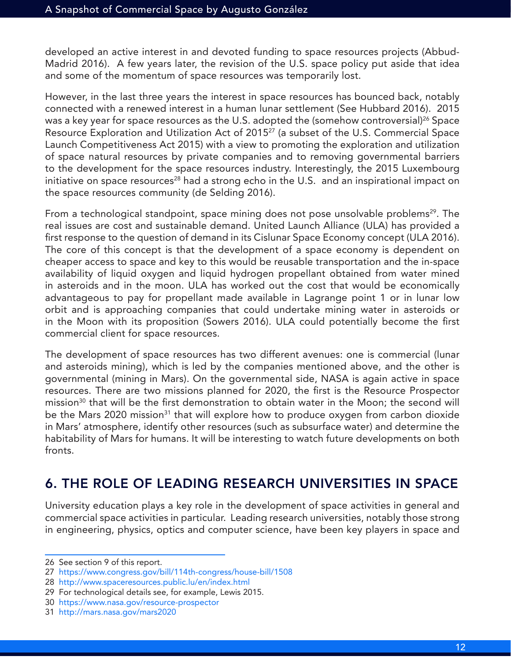developed an active interest in and devoted funding to space resources projects (Abbud-Madrid 2016). A few years later, the revision of the U.S. space policy put aside that idea and some of the momentum of space resources was temporarily lost.

However, in the last three years the interest in space resources has bounced back, notably connected with a renewed interest in a human lunar settlement (See Hubbard 2016). 2015 was a key year for space resources as the U.S. adopted the (somehow controversial)<sup>26</sup> Space Resource Exploration and Utilization Act of 2015<sup>27</sup> (a subset of the U.S. Commercial Space Launch Competitiveness Act 2015) with a view to promoting the exploration and utilization of space natural resources by private companies and to removing governmental barriers to the development for the space resources industry. Interestingly, the 2015 Luxembourg initiative on space resources<sup>28</sup> had a strong echo in the U.S. and an inspirational impact on the space resources community (de Selding 2016).

From a technological standpoint, space mining does not pose unsolvable problems<sup>29</sup>. The real issues are cost and sustainable demand. United Launch Alliance (ULA) has provided a first response to the question of demand in its Cislunar Space Economy concept (ULA 2016). The core of this concept is that the development of a space economy is dependent on cheaper access to space and key to this would be reusable transportation and the in-space availability of liquid oxygen and liquid hydrogen propellant obtained from water mined in asteroids and in the moon. ULA has worked out the cost that would be economically advantageous to pay for propellant made available in Lagrange point 1 or in lunar low orbit and is approaching companies that could undertake mining water in asteroids or in the Moon with its proposition (Sowers 2016). ULA could potentially become the first commercial client for space resources.

The development of space resources has two different avenues: one is commercial (lunar and asteroids mining), which is led by the companies mentioned above, and the other is governmental (mining in Mars). On the governmental side, NASA is again active in space resources. There are two missions planned for 2020, the first is the Resource Prospector mission<sup>30</sup> that will be the first demonstration to obtain water in the Moon; the second will be the Mars 2020 mission<sup>31</sup> that will explore how to produce oxygen from carbon dioxide in Mars' atmosphere, identify other resources (such as subsurface water) and determine the habitability of Mars for humans. It will be interesting to watch future developments on both fronts.

# 6. THE ROLE OF LEADING RESEARCH UNIVERSITIES IN SPACE

University education plays a key role in the development of space activities in general and commercial space activities in particular. Leading research universities, notably those strong in engineering, physics, optics and computer science, have been key players in space and

<sup>26</sup> See section 9 of this report.

<sup>27</sup> https://www.congress.gov/bill/114th-congress/house-bill/1508

<sup>28</sup> http://www.spaceresources.public.lu/en/index.html

<sup>29</sup> For technological details see, for example, Lewis 2015.

<sup>30</sup> https://www.nasa.gov/resource-prospector

<sup>31</sup> http://mars.nasa.gov/mars2020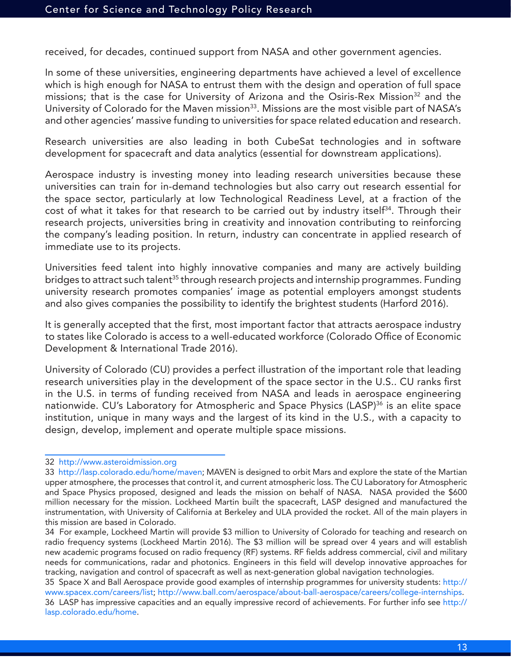received, for decades, continued support from NASA and other government agencies.

In some of these universities, engineering departments have achieved a level of excellence which is high enough for NASA to entrust them with the design and operation of full space missions; that is the case for University of Arizona and the Osiris-Rex Mission<sup>32</sup> and the University of Colorado for the Maven mission<sup>33</sup>. Missions are the most visible part of NASA's and other agencies' massive funding to universities for space related education and research.

Research universities are also leading in both CubeSat technologies and in software development for spacecraft and data analytics (essential for downstream applications).

Aerospace industry is investing money into leading research universities because these universities can train for in-demand technologies but also carry out research essential for the space sector, particularly at low Technological Readiness Level, at a fraction of the cost of what it takes for that research to be carried out by industry itself<sup>34</sup>. Through their research projects, universities bring in creativity and innovation contributing to reinforcing the company's leading position. In return, industry can concentrate in applied research of immediate use to its projects.

Universities feed talent into highly innovative companies and many are actively building bridges to attract such talent<sup>35</sup> through research projects and internship programmes. Funding university research promotes companies' image as potential employers amongst students and also gives companies the possibility to identify the brightest students (Harford 2016).

It is generally accepted that the first, most important factor that attracts aerospace industry to states like Colorado is access to a well-educated workforce (Colorado Office of Economic Development & International Trade 2016).

University of Colorado (CU) provides a perfect illustration of the important role that leading research universities play in the development of the space sector in the U.S.. CU ranks first in the U.S. in terms of funding received from NASA and leads in aerospace engineering nationwide. CU's Laboratory for Atmospheric and Space Physics (LASP)<sup>36</sup> is an elite space institution, unique in many ways and the largest of its kind in the U.S., with a capacity to design, develop, implement and operate multiple space missions.

<sup>32</sup> http://www.asteroidmission.org

<sup>33</sup> http://lasp.colorado.edu/home/maven; MAVEN is designed to orbit Mars and explore the state of the Martian upper atmosphere, the processes that control it, and current atmospheric loss. The CU Laboratory for Atmospheric and Space Physics proposed, designed and leads the mission on behalf of NASA. NASA provided the \$600 million necessary for the mission. Lockheed Martin built the spacecraft, LASP designed and manufactured the instrumentation, with University of California at Berkeley and ULA provided the rocket. All of the main players in this mission are based in Colorado.

<sup>34</sup> For example, Lockheed Martin will provide \$3 million to University of Colorado for teaching and research on radio frequency systems (Lockheed Martin 2016). The \$3 million will be spread over 4 years and will establish new academic programs focused on radio frequency (RF) systems. RF fields address commercial, civil and military needs for communications, radar and photonics. Engineers in this field will develop innovative approaches for tracking, navigation and control of spacecraft as well as next-generation global navigation technologies.

<sup>35</sup> Space X and Ball Aerospace provide good examples of internship programmes for university students: http:// www.spacex.com/careers/list; http://www.ball.com/aerospace/about-ball-aerospace/careers/college-internships. 36 LASP has impressive capacities and an equally impressive record of achievements. For further info see http:// lasp.colorado.edu/home.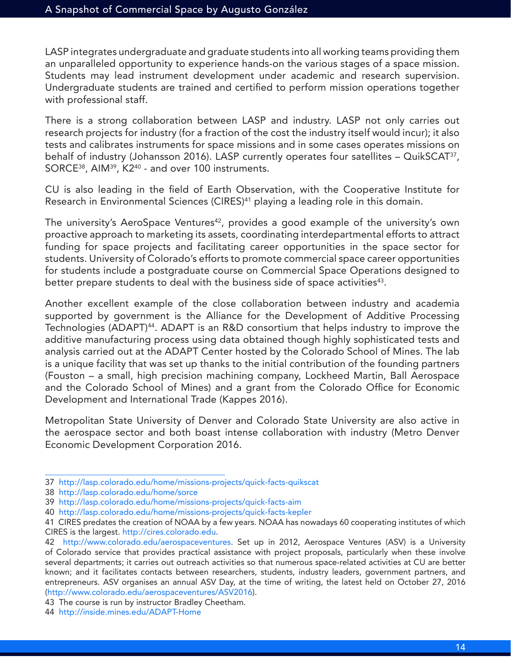LASP integrates undergraduate and graduate students into all working teams providing them an unparalleled opportunity to experience hands-on the various stages of a space mission. Students may lead instrument development under academic and research supervision. Undergraduate students are trained and certified to perform mission operations together with professional staff.

There is a strong collaboration between LASP and industry. LASP not only carries out research projects for industry (for a fraction of the cost the industry itself would incur); it also tests and calibrates instruments for space missions and in some cases operates missions on behalf of industry (Johansson 2016). LASP currently operates four satellites – QuikSCAT<sup>37</sup>, SORCE38, AIM39, K240 - and over 100 instruments.

CU is also leading in the field of Earth Observation, with the Cooperative Institute for Research in Environmental Sciences (CIRES)<sup>41</sup> playing a leading role in this domain.

The university's AeroSpace Ventures<sup>42</sup>, provides a good example of the university's own proactive approach to marketing its assets, coordinating interdepartmental efforts to attract funding for space projects and facilitating career opportunities in the space sector for students. University of Colorado's efforts to promote commercial space career opportunities for students include a postgraduate course on Commercial Space Operations designed to better prepare students to deal with the business side of space activities<sup>43</sup>.

Another excellent example of the close collaboration between industry and academia supported by government is the Alliance for the Development of Additive Processing Technologies (ADAPT)44. ADAPT is an R&D consortium that helps industry to improve the additive manufacturing process using data obtained though highly sophisticated tests and analysis carried out at the ADAPT Center hosted by the Colorado School of Mines. The lab is a unique facility that was set up thanks to the initial contribution of the founding partners (Fouston – a small, high precision machining company, Lockheed Martin, Ball Aerospace and the Colorado School of Mines) and a grant from the Colorado Office for Economic Development and International Trade (Kappes 2016).

Metropolitan State University of Denver and Colorado State University are also active in the aerospace sector and both boast intense collaboration with industry (Metro Denver Economic Development Corporation 2016.

43 The course is run by instructor Bradley Cheetham.

<sup>37</sup> http://lasp.colorado.edu/home/missions-projects/quick-facts-quikscat

<sup>38</sup> http://lasp.colorado.edu/home/sorce

<sup>39</sup> http://lasp.colorado.edu/home/missions-projects/quick-facts-aim

<sup>40</sup> http://lasp.colorado.edu/home/missions-projects/quick-facts-kepler

<sup>41</sup> CIRES predates the creation of NOAA by a few years. NOAA has nowadays 60 cooperating institutes of which CIRES is the largest. http://cires.colorado.edu.

<sup>42</sup> http://www.colorado.edu/aerospaceventures. Set up in 2012, Aerospace Ventures (ASV) is a University of Colorado service that provides practical assistance with project proposals, particularly when these involve several departments; it carries out outreach activities so that numerous space-related activities at CU are better known; and it facilitates contacts between researchers, students, industry leaders, government partners, and entrepreneurs. ASV organises an annual ASV Day, at the time of writing, the latest held on October 27, 2016 (http://www.colorado.edu/aerospaceventures/ASV2016).

<sup>44</sup> http://inside.mines.edu/ADAPT-Home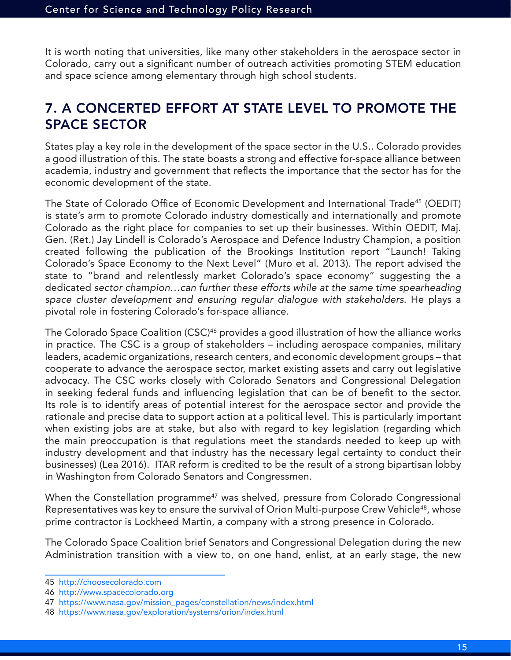It is worth noting that universities, like many other stakeholders in the aerospace sector in Colorado, carry out a significant number of outreach activities promoting STEM education and space science among elementary through high school students.

## 7. A CONCERTED EFFORT AT STATE LEVEL TO PROMOTE THE SPACE SECTOR

States play a key role in the development of the space sector in the U.S.. Colorado provides a good illustration of this. The state boasts a strong and effective for-space alliance between academia, industry and government that reflects the importance that the sector has for the economic development of the state.

The State of Colorado Office of Economic Development and International Trade45 (OEDIT) is state's arm to promote Colorado industry domestically and internationally and promote Colorado as the right place for companies to set up their businesses. Within OEDIT, Maj. Gen. (Ret.) Jay Lindell is Colorado's Aerospace and Defence Industry Champion, a position created following the publication of the Brookings Institution report "Launch! Taking Colorado's Space Economy to the Next Level" (Muro et al. 2013). The report advised the state to "brand and relentlessly market Colorado's space economy" suggesting the a dedicated *sector champion…can further these efforts while at the same time spearheading space cluster development and ensuring regular dialogue with stakeholders*. He plays a pivotal role in fostering Colorado's for-space alliance.

The Colorado Space Coalition (CSC)<sup>46</sup> provides a good illustration of how the alliance works in practice. The CSC is a group of stakeholders – including aerospace companies, military leaders, academic organizations, research centers, and economic development groups – that cooperate to advance the aerospace sector, market existing assets and carry out legislative advocacy. The CSC works closely with Colorado Senators and Congressional Delegation in seeking federal funds and influencing legislation that can be of benefit to the sector. Its role is to identify areas of potential interest for the aerospace sector and provide the rationale and precise data to support action at a political level. This is particularly important when existing jobs are at stake, but also with regard to key legislation (regarding which the main preoccupation is that regulations meet the standards needed to keep up with industry development and that industry has the necessary legal certainty to conduct their businesses) (Lea 2016). ITAR reform is credited to be the result of a strong bipartisan lobby in Washington from Colorado Senators and Congressmen.

When the Constellation programme<sup>47</sup> was shelved, pressure from Colorado Congressional Representatives was key to ensure the survival of Orion Multi-purpose Crew Vehicle<sup>48</sup>, whose prime contractor is Lockheed Martin, a company with a strong presence in Colorado.

The Colorado Space Coalition brief Senators and Congressional Delegation during the new Administration transition with a view to, on one hand, enlist, at an early stage, the new

<sup>45</sup> http://choosecolorado.com

<sup>46</sup> http://www.spacecolorado.org

<sup>47</sup> https://www.nasa.gov/mission\_pages/constellation/news/index.html

<sup>48</sup> https://www.nasa.gov/exploration/systems/orion/index.html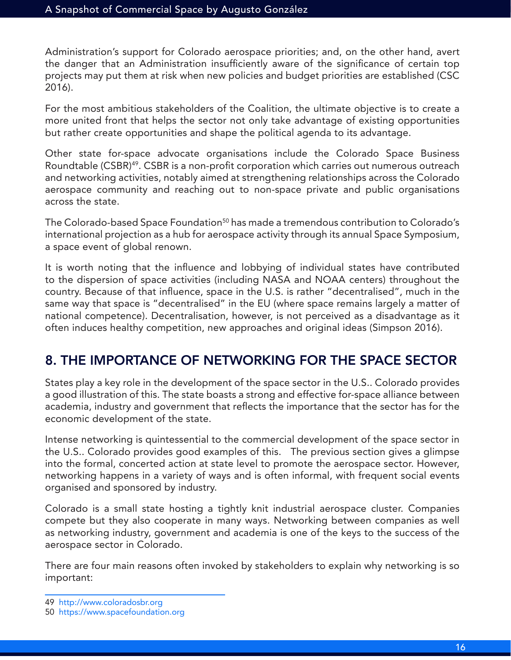Administration's support for Colorado aerospace priorities; and, on the other hand, avert the danger that an Administration insufficiently aware of the significance of certain top projects may put them at risk when new policies and budget priorities are established (CSC 2016).

For the most ambitious stakeholders of the Coalition, the ultimate objective is to create a more united front that helps the sector not only take advantage of existing opportunities but rather create opportunities and shape the political agenda to its advantage.

Other state for-space advocate organisations include the Colorado Space Business Roundtable (CSBR)<sup>49</sup>. CSBR is a non-profit corporation which carries out numerous outreach and networking activities, notably aimed at strengthening relationships across the Colorado aerospace community and reaching out to non-space private and public organisations across the state.

The Colorado-based Space Foundation<sup>50</sup> has made a tremendous contribution to Colorado's international projection as a hub for aerospace activity through its annual Space Symposium, a space event of global renown.

It is worth noting that the influence and lobbying of individual states have contributed to the dispersion of space activities (including NASA and NOAA centers) throughout the country. Because of that influence, space in the U.S. is rather "decentralised", much in the same way that space is "decentralised" in the EU (where space remains largely a matter of national competence). Decentralisation, however, is not perceived as a disadvantage as it often induces healthy competition, new approaches and original ideas (Simpson 2016).

## 8. THE IMPORTANCE OF NETWORKING FOR THE SPACE SECTOR

States play a key role in the development of the space sector in the U.S.. Colorado provides a good illustration of this. The state boasts a strong and effective for-space alliance between academia, industry and government that reflects the importance that the sector has for the economic development of the state.

Intense networking is quintessential to the commercial development of the space sector in the U.S.. Colorado provides good examples of this. The previous section gives a glimpse into the formal, concerted action at state level to promote the aerospace sector. However, networking happens in a variety of ways and is often informal, with frequent social events organised and sponsored by industry.

Colorado is a small state hosting a tightly knit industrial aerospace cluster. Companies compete but they also cooperate in many ways. Networking between companies as well as networking industry, government and academia is one of the keys to the success of the aerospace sector in Colorado.

There are four main reasons often invoked by stakeholders to explain why networking is so important:

<sup>49</sup> http://www.coloradosbr.org

<sup>50</sup> https://www.spacefoundation.org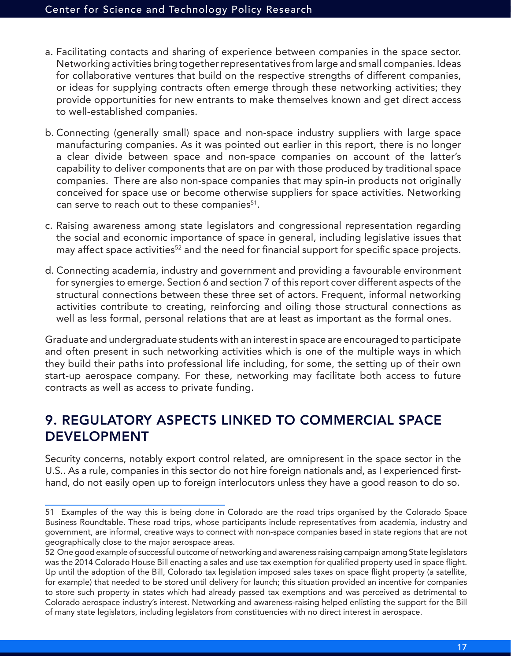- a. Facilitating contacts and sharing of experience between companies in the space sector. Networking activities bring together representatives from large and small companies. Ideas for collaborative ventures that build on the respective strengths of different companies, or ideas for supplying contracts often emerge through these networking activities; they provide opportunities for new entrants to make themselves known and get direct access to well-established companies.
- b. Connecting (generally small) space and non-space industry suppliers with large space manufacturing companies. As it was pointed out earlier in this report, there is no longer a clear divide between space and non-space companies on account of the latter's capability to deliver components that are on par with those produced by traditional space companies. There are also non-space companies that may spin-in products not originally conceived for space use or become otherwise suppliers for space activities. Networking can serve to reach out to these companies<sup>51</sup>.
- c. Raising awareness among state legislators and congressional representation regarding the social and economic importance of space in general, including legislative issues that may affect space activities<sup>52</sup> and the need for financial support for specific space projects.
- d. Connecting academia, industry and government and providing a favourable environment for synergies to emerge. Section 6 and section 7 of this report cover different aspects of the structural connections between these three set of actors. Frequent, informal networking activities contribute to creating, reinforcing and oiling those structural connections as well as less formal, personal relations that are at least as important as the formal ones.

Graduate and undergraduate students with an interest in space are encouraged to participate and often present in such networking activities which is one of the multiple ways in which they build their paths into professional life including, for some, the setting up of their own start-up aerospace company. For these, networking may facilitate both access to future contracts as well as access to private funding.

# 9. REGULATORY ASPECTS LINKED TO COMMERCIAL SPACE DEVELOPMENT

Security concerns, notably export control related, are omnipresent in the space sector in the U.S.. As a rule, companies in this sector do not hire foreign nationals and, as I experienced firsthand, do not easily open up to foreign interlocutors unless they have a good reason to do so.

<sup>51</sup> Examples of the way this is being done in Colorado are the road trips organised by the Colorado Space Business Roundtable. These road trips, whose participants include representatives from academia, industry and government, are informal, creative ways to connect with non-space companies based in state regions that are not geographically close to the major aerospace areas.

<sup>52</sup> One good example of successful outcome of networking and awareness raising campaign among State legislators was the 2014 Colorado House Bill enacting a sales and use tax exemption for qualified property used in space flight. Up until the adoption of the Bill, Colorado tax legislation imposed sales taxes on space flight property (a satellite, for example) that needed to be stored until delivery for launch; this situation provided an incentive for companies to store such property in states which had already passed tax exemptions and was perceived as detrimental to Colorado aerospace industry's interest. Networking and awareness-raising helped enlisting the support for the Bill of many state legislators, including legislators from constituencies with no direct interest in aerospace.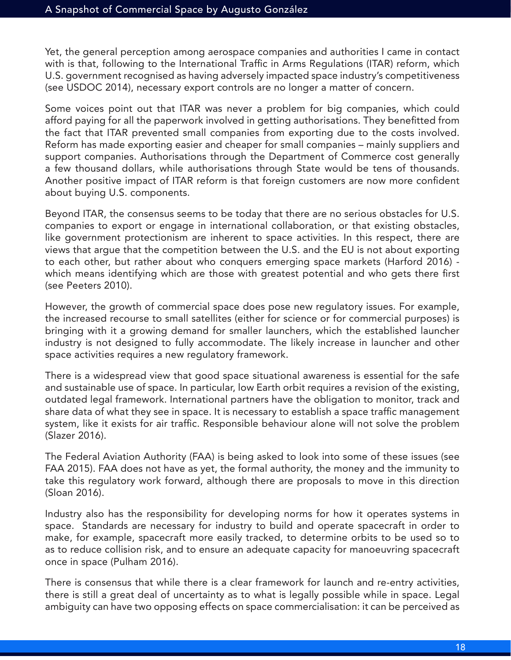Yet, the general perception among aerospace companies and authorities I came in contact with is that, following to the International Traffic in Arms Regulations (ITAR) reform, which U.S. government recognised as having adversely impacted space industry's competitiveness (see USDOC 2014), necessary export controls are no longer a matter of concern.

Some voices point out that ITAR was never a problem for big companies, which could afford paying for all the paperwork involved in getting authorisations. They benefitted from the fact that ITAR prevented small companies from exporting due to the costs involved. Reform has made exporting easier and cheaper for small companies – mainly suppliers and support companies. Authorisations through the Department of Commerce cost generally a few thousand dollars, while authorisations through State would be tens of thousands. Another positive impact of ITAR reform is that foreign customers are now more confident about buying U.S. components.

Beyond ITAR, the consensus seems to be today that there are no serious obstacles for U.S. companies to export or engage in international collaboration, or that existing obstacles, like government protectionism are inherent to space activities. In this respect, there are views that argue that the competition between the U.S. and the EU is not about exporting to each other, but rather about who conquers emerging space markets (Harford 2016) which means identifying which are those with greatest potential and who gets there first (see Peeters 2010).

However, the growth of commercial space does pose new regulatory issues. For example, the increased recourse to small satellites (either for science or for commercial purposes) is bringing with it a growing demand for smaller launchers, which the established launcher industry is not designed to fully accommodate. The likely increase in launcher and other space activities requires a new regulatory framework.

There is a widespread view that good space situational awareness is essential for the safe and sustainable use of space. In particular, low Earth orbit requires a revision of the existing, outdated legal framework. International partners have the obligation to monitor, track and share data of what they see in space. It is necessary to establish a space traffic management system, like it exists for air traffic. Responsible behaviour alone will not solve the problem (Slazer 2016).

The Federal Aviation Authority (FAA) is being asked to look into some of these issues (see FAA 2015). FAA does not have as yet, the formal authority, the money and the immunity to take this regulatory work forward, although there are proposals to move in this direction (Sloan 2016).

Industry also has the responsibility for developing norms for how it operates systems in space. Standards are necessary for industry to build and operate spacecraft in order to make, for example, spacecraft more easily tracked, to determine orbits to be used so to as to reduce collision risk, and to ensure an adequate capacity for manoeuvring spacecraft once in space (Pulham 2016).

There is consensus that while there is a clear framework for launch and re-entry activities, there is still a great deal of uncertainty as to what is legally possible while in space. Legal ambiguity can have two opposing effects on space commercialisation: it can be perceived as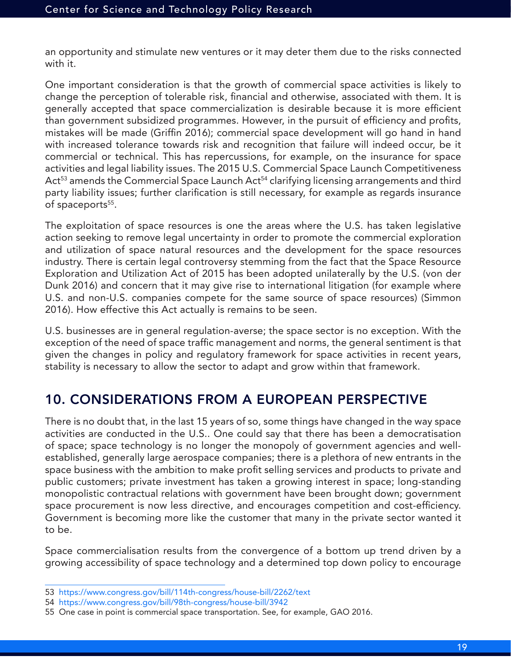an opportunity and stimulate new ventures or it may deter them due to the risks connected with it.

One important consideration is that the growth of commercial space activities is likely to change the perception of tolerable risk, financial and otherwise, associated with them. It is generally accepted that space commercialization is desirable because it is more efficient than government subsidized programmes. However, in the pursuit of efficiency and profits, mistakes will be made (Griffin 2016); commercial space development will go hand in hand with increased tolerance towards risk and recognition that failure will indeed occur, be it commercial or technical. This has repercussions, for example, on the insurance for space activities and legal liability issues. The 2015 U.S. Commercial Space Launch Competitiveness Act<sup>53</sup> amends the Commercial Space Launch Act<sup>54</sup> clarifying licensing arrangements and third party liability issues; further clarification is still necessary, for example as regards insurance of spaceports<sup>55</sup>.

The exploitation of space resources is one the areas where the U.S. has taken legislative action seeking to remove legal uncertainty in order to promote the commercial exploration and utilization of space natural resources and the development for the space resources industry. There is certain legal controversy stemming from the fact that the Space Resource Exploration and Utilization Act of 2015 has been adopted unilaterally by the U.S. (von der Dunk 2016) and concern that it may give rise to international litigation (for example where U.S. and non-U.S. companies compete for the same source of space resources) (Simmon 2016). How effective this Act actually is remains to be seen.

U.S. businesses are in general regulation-averse; the space sector is no exception. With the exception of the need of space traffic management and norms, the general sentiment is that given the changes in policy and regulatory framework for space activities in recent years, stability is necessary to allow the sector to adapt and grow within that framework.

# 10. CONSIDERATIONS FROM A EUROPEAN PERSPECTIVE

There is no doubt that, in the last 15 years of so, some things have changed in the way space activities are conducted in the U.S.. One could say that there has been a democratisation of space; space technology is no longer the monopoly of government agencies and wellestablished, generally large aerospace companies; there is a plethora of new entrants in the space business with the ambition to make profit selling services and products to private and public customers; private investment has taken a growing interest in space; long-standing monopolistic contractual relations with government have been brought down; government space procurement is now less directive, and encourages competition and cost-efficiency. Government is becoming more like the customer that many in the private sector wanted it to be.

Space commercialisation results from the convergence of a bottom up trend driven by a growing accessibility of space technology and a determined top down policy to encourage

<sup>53</sup> https://www.congress.gov/bill/114th-congress/house-bill/2262/text

<sup>54</sup> https://www.congress.gov/bill/98th-congress/house-bill/3942

<sup>55</sup> One case in point is commercial space transportation. See, for example, GAO 2016.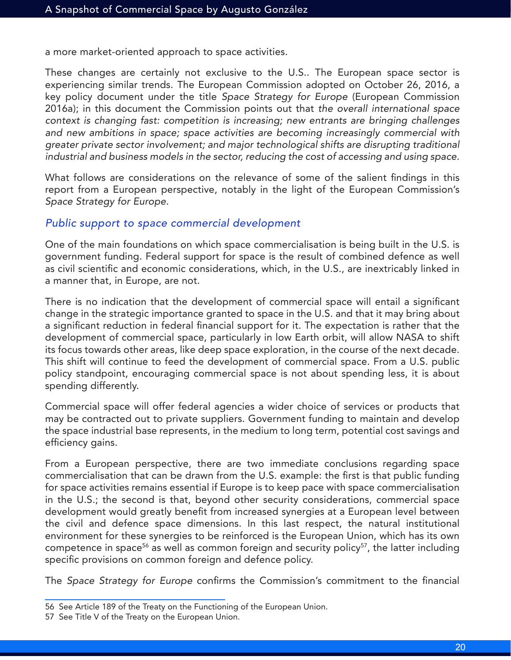a more market-oriented approach to space activities.

These changes are certainly not exclusive to the U.S.. The European space sector is experiencing similar trends. The European Commission adopted on October 26, 2016, a key policy document under the title *Space Strategy for Europe* (European Commission 2016a); in this document the Commission points out that *the overall international space context is changing fast: competition is increasing; new entrants are bringing challenges and new ambitions in space; space activities are becoming increasingly commercial with greater private sector involvement; and major technological shifts are disrupting traditional industrial and business models in the sector, reducing the cost of accessing and using space*.

What follows are considerations on the relevance of some of the salient findings in this report from a European perspective, notably in the light of the European Commission's *Space Strategy for Europe*.

#### *Public support to space commercial development*

One of the main foundations on which space commercialisation is being built in the U.S. is government funding. Federal support for space is the result of combined defence as well as civil scientific and economic considerations, which, in the U.S., are inextricably linked in a manner that, in Europe, are not.

There is no indication that the development of commercial space will entail a significant change in the strategic importance granted to space in the U.S. and that it may bring about a significant reduction in federal financial support for it. The expectation is rather that the development of commercial space, particularly in low Earth orbit, will allow NASA to shift its focus towards other areas, like deep space exploration, in the course of the next decade. This shift will continue to feed the development of commercial space. From a U.S. public policy standpoint, encouraging commercial space is not about spending less, it is about spending differently.

Commercial space will offer federal agencies a wider choice of services or products that may be contracted out to private suppliers. Government funding to maintain and develop the space industrial base represents, in the medium to long term, potential cost savings and efficiency gains.

From a European perspective, there are two immediate conclusions regarding space commercialisation that can be drawn from the U.S. example: the first is that public funding for space activities remains essential if Europe is to keep pace with space commercialisation in the U.S.; the second is that, beyond other security considerations, commercial space development would greatly benefit from increased synergies at a European level between the civil and defence space dimensions. In this last respect, the natural institutional environment for these synergies to be reinforced is the European Union, which has its own competence in space<sup>56</sup> as well as common foreign and security policy<sup>57</sup>, the latter including specific provisions on common foreign and defence policy.

The *Space Strategy for Europe* confirms the Commission's commitment to the financial

<sup>56</sup> See Article 189 of the Treaty on the Functioning of the European Union.

<sup>57</sup> See Title V of the Treaty on the European Union.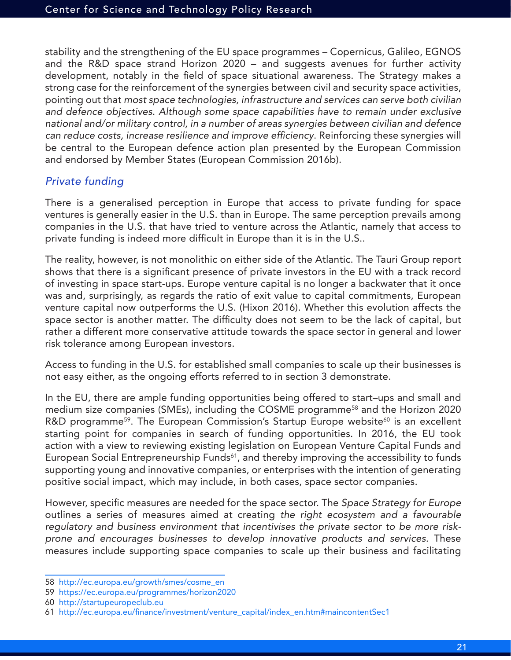stability and the strengthening of the EU space programmes – Copernicus, Galileo, EGNOS and the R&D space strand Horizon 2020 – and suggests avenues for further activity development, notably in the field of space situational awareness. The Strategy makes a strong case for the reinforcement of the synergies between civil and security space activities, pointing out that *most space technologies, infrastructure and services can serve both civilian and defence objectives. Although some space capabilities have to remain under exclusive national and/or military control, in a number of areas synergies between civilian and defence*  can reduce costs, increase resilience and improve efficiency. Reinforcing these synergies will be central to the European defence action plan presented by the European Commission and endorsed by Member States (European Commission 2016b).

#### *Private funding*

There is a generalised perception in Europe that access to private funding for space ventures is generally easier in the U.S. than in Europe. The same perception prevails among companies in the U.S. that have tried to venture across the Atlantic, namely that access to private funding is indeed more difficult in Europe than it is in the U.S..

The reality, however, is not monolithic on either side of the Atlantic. The Tauri Group report shows that there is a significant presence of private investors in the EU with a track record of investing in space start-ups. Europe venture capital is no longer a backwater that it once was and, surprisingly, as regards the ratio of exit value to capital commitments, European venture capital now outperforms the U.S. (Hixon 2016). Whether this evolution affects the space sector is another matter. The difficulty does not seem to be the lack of capital, but rather a different more conservative attitude towards the space sector in general and lower risk tolerance among European investors.

Access to funding in the U.S. for established small companies to scale up their businesses is not easy either, as the ongoing efforts referred to in section 3 demonstrate.

In the EU, there are ample funding opportunities being offered to start–ups and small and medium size companies (SMEs), including the COSME programme<sup>58</sup> and the Horizon 2020 R&D programme<sup>59</sup>. The European Commission's Startup Europe website<sup>60</sup> is an excellent starting point for companies in search of funding opportunities. In 2016, the EU took action with a view to reviewing existing legislation on European Venture Capital Funds and European Social Entrepreneurship Funds<sup>61</sup>, and thereby improving the accessibility to funds supporting young and innovative companies, or enterprises with the intention of generating positive social impact, which may include, in both cases, space sector companies.

However, specific measures are needed for the space sector. The *Space Strategy for Europe* outlines a series of measures aimed at creating *the right ecosystem and a favourable regulatory and business environment that incentivises the private sector to be more riskprone and encourages businesses to develop innovative products and services*. These measures include supporting space companies to scale up their business and facilitating

<sup>58</sup> http://ec.europa.eu/growth/smes/cosme\_en

<sup>59</sup> https://ec.europa.eu/programmes/horizon2020

<sup>60</sup> http://startupeuropeclub.eu

<sup>61</sup> http://ec.europa.eu/finance/investment/venture\_capital/index\_en.htm#maincontentSec1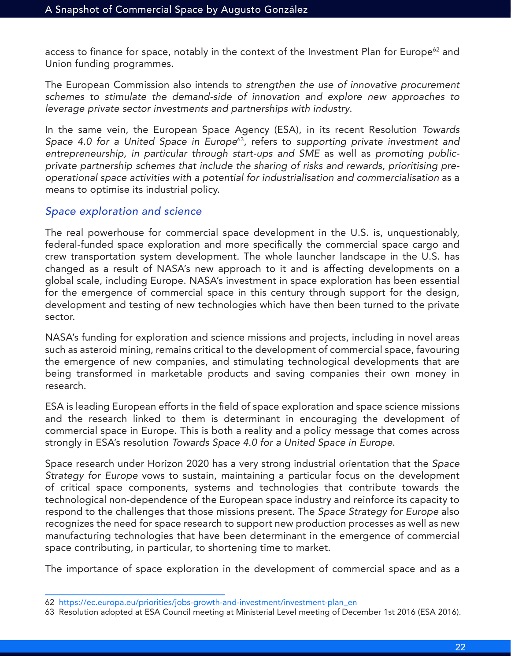access to finance for space, notably in the context of the Investment Plan for Europe<sup>62</sup> and Union funding programmes.

The European Commission also intends to *strengthen the use of innovative procurement schemes to stimulate the demand-side of innovation and explore new approaches to leverage private sector investments and partnerships with industry*.

In the same vein, the European Space Agency (ESA), in its recent Resolution *Towards Space 4.0 for a United Space in Europe*63, refers to *supporting private investment and entrepreneurship, in particular through start-ups and SME* as well as *promoting publicprivate partnership schemes that include the sharing of risks and rewards, prioritising preoperational space activities with a potential for industrialisation and commercialisation* as a means to optimise its industrial policy.

#### *Space exploration and science*

The real powerhouse for commercial space development in the U.S. is, unquestionably, federal-funded space exploration and more specifically the commercial space cargo and crew transportation system development. The whole launcher landscape in the U.S. has changed as a result of NASA's new approach to it and is affecting developments on a global scale, including Europe. NASA's investment in space exploration has been essential for the emergence of commercial space in this century through support for the design, development and testing of new technologies which have then been turned to the private sector.

NASA's funding for exploration and science missions and projects, including in novel areas such as asteroid mining, remains critical to the development of commercial space, favouring the emergence of new companies, and stimulating technological developments that are being transformed in marketable products and saving companies their own money in research.

ESA is leading European efforts in the field of space exploration and space science missions and the research linked to them is determinant in encouraging the development of commercial space in Europe. This is both a reality and a policy message that comes across strongly in ESA's resolution *Towards Space 4.0 for a United Space in Europe*.

Space research under Horizon 2020 has a very strong industrial orientation that the *Space Strategy for Europe* vows to sustain, maintaining a particular focus on the development of critical space components, systems and technologies that contribute towards the technological non-dependence of the European space industry and reinforce its capacity to respond to the challenges that those missions present. The *Space Strategy for Europe* also recognizes the need for space research to support new production processes as well as new manufacturing technologies that have been determinant in the emergence of commercial space contributing, in particular, to shortening time to market.

The importance of space exploration in the development of commercial space and as a

<sup>62</sup> https://ec.europa.eu/priorities/jobs-growth-and-investment/investment-plan\_en

<sup>63</sup> Resolution adopted at ESA Council meeting at Ministerial Level meeting of December 1st 2016 (ESA 2016).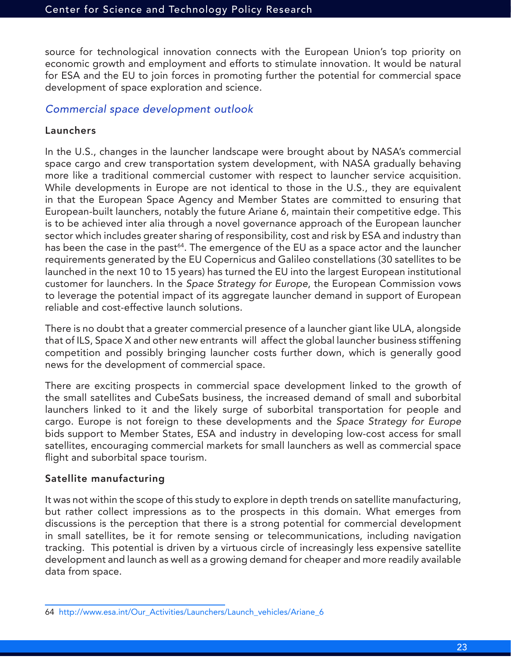source for technological innovation connects with the European Union's top priority on economic growth and employment and efforts to stimulate innovation. It would be natural for ESA and the EU to join forces in promoting further the potential for commercial space development of space exploration and science.

#### *Commercial space development outlook*

#### Launchers

In the U.S., changes in the launcher landscape were brought about by NASA's commercial space cargo and crew transportation system development, with NASA gradually behaving more like a traditional commercial customer with respect to launcher service acquisition. While developments in Europe are not identical to those in the U.S., they are equivalent in that the European Space Agency and Member States are committed to ensuring that European-built launchers, notably the future Ariane 6, maintain their competitive edge. This is to be achieved inter alia through a novel governance approach of the European launcher sector which includes greater sharing of responsibility, cost and risk by ESA and industry than has been the case in the past<sup>64</sup>. The emergence of the EU as a space actor and the launcher requirements generated by the EU Copernicus and Galileo constellations (30 satellites to be launched in the next 10 to 15 years) has turned the EU into the largest European institutional customer for launchers. In the *Space Strategy for Europe*, the European Commission vows to leverage the potential impact of its aggregate launcher demand in support of European reliable and cost-effective launch solutions.

There is no doubt that a greater commercial presence of a launcher giant like ULA, alongside that of ILS, Space X and other new entrants will affect the global launcher business stiffening competition and possibly bringing launcher costs further down, which is generally good news for the development of commercial space.

There are exciting prospects in commercial space development linked to the growth of the small satellites and CubeSats business, the increased demand of small and suborbital launchers linked to it and the likely surge of suborbital transportation for people and cargo. Europe is not foreign to these developments and the *Space Strategy for Europe* bids support to Member States, ESA and industry in developing low-cost access for small satellites, encouraging commercial markets for small launchers as well as commercial space flight and suborbital space tourism.

#### Satellite manufacturing

It was not within the scope of this study to explore in depth trends on satellite manufacturing, but rather collect impressions as to the prospects in this domain. What emerges from discussions is the perception that there is a strong potential for commercial development in small satellites, be it for remote sensing or telecommunications, including navigation tracking. This potential is driven by a virtuous circle of increasingly less expensive satellite development and launch as well as a growing demand for cheaper and more readily available data from space.

<sup>64</sup> http://www.esa.int/Our\_Activities/Launchers/Launch\_vehicles/Ariane\_6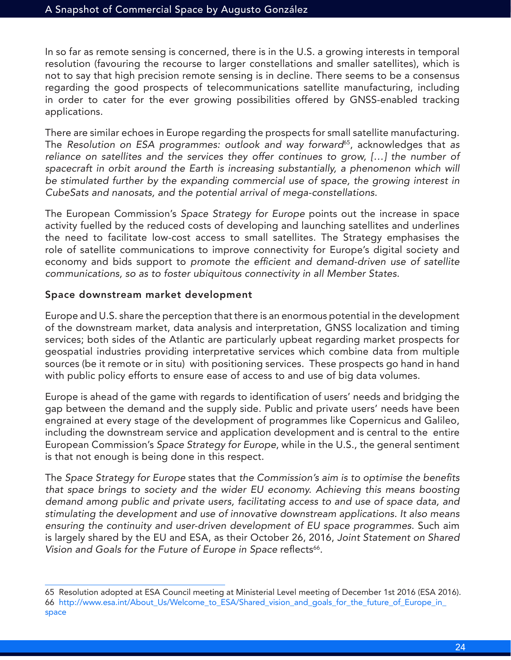In so far as remote sensing is concerned, there is in the U.S. a growing interests in temporal resolution (favouring the recourse to larger constellations and smaller satellites), which is not to say that high precision remote sensing is in decline. There seems to be a consensus regarding the good prospects of telecommunications satellite manufacturing, including in order to cater for the ever growing possibilities offered by GNSS-enabled tracking applications.

There are similar echoes in Europe regarding the prospects for small satellite manufacturing. The *Resolution on ESA programmes: outlook and way forward*65, acknowledges that *as reliance on satellites and the services they offer continues to grow, […] the number of*  spacecraft in orbit around the Earth is increasing substantially, a phenomenon which will *be stimulated further by the expanding commercial use of space, the growing interest in CubeSats and nanosats, and the potential arrival of mega-constellations*.

The European Commission's *Space Strategy for Europe* points out the increase in space activity fuelled by the reduced costs of developing and launching satellites and underlines the need to facilitate low-cost access to small satellites. The Strategy emphasises the role of satellite communications to improve connectivity for Europe's digital society and economy and bids support to promote the efficient and demand-driven use of satellite *communications, so as to foster ubiquitous connectivity in all Member States*.

#### Space downstream market development

Europe and U.S. share the perception that there is an enormous potential in the development of the downstream market, data analysis and interpretation, GNSS localization and timing services; both sides of the Atlantic are particularly upbeat regarding market prospects for geospatial industries providing interpretative services which combine data from multiple sources (be it remote or in situ) with positioning services. These prospects go hand in hand with public policy efforts to ensure ease of access to and use of big data volumes.

Europe is ahead of the game with regards to identification of users' needs and bridging the gap between the demand and the supply side. Public and private users' needs have been engrained at every stage of the development of programmes like Copernicus and Galileo, including the downstream service and application development and is central to the entire European Commission's *Space Strategy for Europe*, while in the U.S., the general sentiment is that not enough is being done in this respect.

The *Space Strategy for Europe* states that the Commission's aim is to optimise the benefits *that space brings to society and the wider EU economy. Achieving this means boosting demand among public and private users, facilitating access to and use of space data, and stimulating the development and use of innovative downstream applications. It also means ensuring the continuity and user-driven development of EU space programmes*. Such aim is largely shared by the EU and ESA, as their October 26, 2016, *Joint Statement on Shared*  Vision and Goals for the Future of Europe in Space reflects<sup>66</sup>.

<sup>65</sup> Resolution adopted at ESA Council meeting at Ministerial Level meeting of December 1st 2016 (ESA 2016). 66 http://www.esa.int/About\_Us/Welcome\_to\_ESA/Shared\_vision\_and\_goals\_for\_the\_future\_of\_Europe\_in\_ space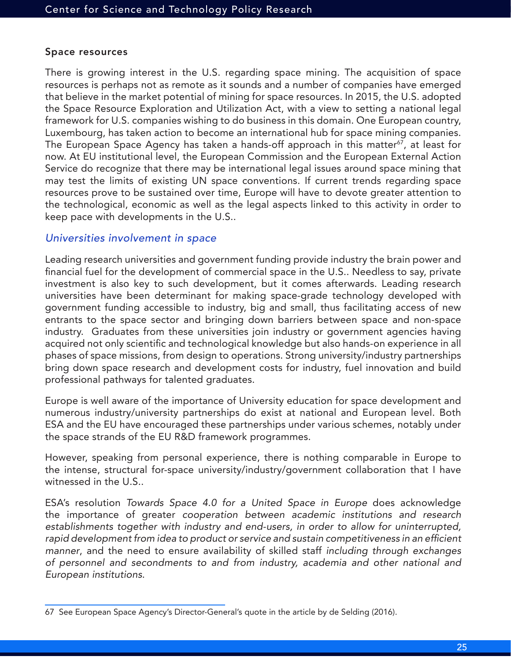#### Space resources

There is growing interest in the U.S. regarding space mining. The acquisition of space resources is perhaps not as remote as it sounds and a number of companies have emerged that believe in the market potential of mining for space resources. In 2015, the U.S. adopted the Space Resource Exploration and Utilization Act, with a view to setting a national legal framework for U.S. companies wishing to do business in this domain. One European country, Luxembourg, has taken action to become an international hub for space mining companies. The European Space Agency has taken a hands-off approach in this matter<sup>67</sup>, at least for now. At EU institutional level, the European Commission and the European External Action Service do recognize that there may be international legal issues around space mining that may test the limits of existing UN space conventions. If current trends regarding space resources prove to be sustained over time, Europe will have to devote greater attention to the technological, economic as well as the legal aspects linked to this activity in order to keep pace with developments in the U.S..

#### *Universities involvement in space*

Leading research universities and government funding provide industry the brain power and financial fuel for the development of commercial space in the U.S.. Needless to say, private investment is also key to such development, but it comes afterwards. Leading research universities have been determinant for making space-grade technology developed with government funding accessible to industry, big and small, thus facilitating access of new entrants to the space sector and bringing down barriers between space and non-space industry. Graduates from these universities join industry or government agencies having acquired not only scientific and technological knowledge but also hands-on experience in all phases of space missions, from design to operations. Strong university/industry partnerships bring down space research and development costs for industry, fuel innovation and build professional pathways for talented graduates.

Europe is well aware of the importance of University education for space development and numerous industry/university partnerships do exist at national and European level. Both ESA and the EU have encouraged these partnerships under various schemes, notably under the space strands of the EU R&D framework programmes.

However, speaking from personal experience, there is nothing comparable in Europe to the intense, structural for-space university/industry/government collaboration that I have witnessed in the U.S..

ESA's resolution *Towards Space 4.0 for a United Space in Europe* does acknowledge the importance of greater *cooperation between academic institutions and research establishments together with industry and end-users, in order to allow for uninterrupted,*  rapid development from idea to product or service and sustain competitiveness in an efficient *manner*, and the need to ensure availability of skilled staff *including through exchanges of personnel and secondments to and from industry, academia and other national and European institutions*.

<sup>67</sup> See European Space Agency's Director-General's quote in the article by de Selding (2016).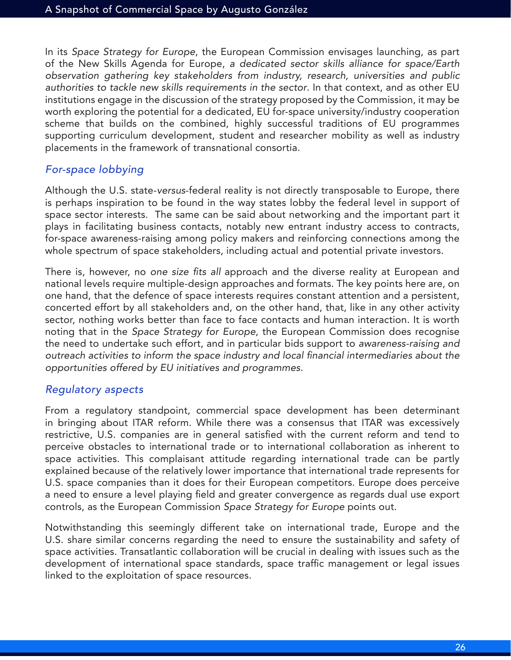In its *Space Strategy for Europe*, the European Commission envisages launching, as part of the New Skills Agenda for Europe, *a dedicated sector skills alliance for space/Earth observation gathering key stakeholders from industry, research, universities and public authorities to tackle new skills requirements in the sector*. In that context, and as other EU institutions engage in the discussion of the strategy proposed by the Commission, it may be worth exploring the potential for a dedicated, EU for-space university/industry cooperation scheme that builds on the combined, highly successful traditions of EU programmes supporting curriculum development, student and researcher mobility as well as industry placements in the framework of transnational consortia.

#### *For-space lobbying*

Although the U.S. state-*versus*-federal reality is not directly transposable to Europe, there is perhaps inspiration to be found in the way states lobby the federal level in support of space sector interests. The same can be said about networking and the important part it plays in facilitating business contacts, notably new entrant industry access to contracts, for-space awareness-raising among policy makers and reinforcing connections among the whole spectrum of space stakeholders, including actual and potential private investors.

There is, however, no one size fits all approach and the diverse reality at European and national levels require multiple-design approaches and formats. The key points here are, on one hand, that the defence of space interests requires constant attention and a persistent, concerted effort by all stakeholders and, on the other hand, that, like in any other activity sector, nothing works better than face to face contacts and human interaction. It is worth noting that in the *Space Strategy for Europe*, the European Commission does recognise the need to undertake such effort, and in particular bids support to *awareness-raising and*  outreach activities to inform the space industry and local financial intermediaries about the *opportunities offered by EU initiatives and programmes*.

#### *Regulatory aspects*

From a regulatory standpoint, commercial space development has been determinant in bringing about ITAR reform. While there was a consensus that ITAR was excessively restrictive, U.S. companies are in general satisfied with the current reform and tend to perceive obstacles to international trade or to international collaboration as inherent to space activities. This complaisant attitude regarding international trade can be partly explained because of the relatively lower importance that international trade represents for U.S. space companies than it does for their European competitors. Europe does perceive a need to ensure a level playing field and greater convergence as regards dual use export controls, as the European Commission *Space Strategy for Europe* points out.

Notwithstanding this seemingly different take on international trade, Europe and the U.S. share similar concerns regarding the need to ensure the sustainability and safety of space activities. Transatlantic collaboration will be crucial in dealing with issues such as the development of international space standards, space traffic management or legal issues linked to the exploitation of space resources.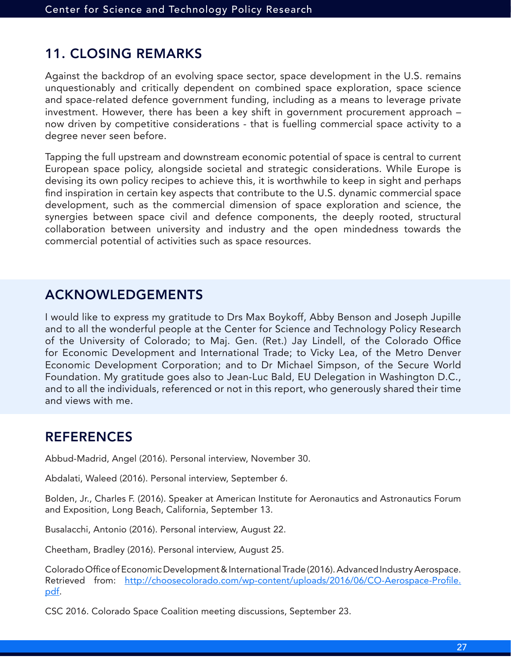# 11. CLOSING REMARKS

Against the backdrop of an evolving space sector, space development in the U.S. remains unquestionably and critically dependent on combined space exploration, space science and space-related defence government funding, including as a means to leverage private investment. However, there has been a key shift in government procurement approach – now driven by competitive considerations - that is fuelling commercial space activity to a degree never seen before.

Tapping the full upstream and downstream economic potential of space is central to current European space policy, alongside societal and strategic considerations. While Europe is devising its own policy recipes to achieve this, it is worthwhile to keep in sight and perhaps find inspiration in certain key aspects that contribute to the U.S. dynamic commercial space development, such as the commercial dimension of space exploration and science, the synergies between space civil and defence components, the deeply rooted, structural collaboration between university and industry and the open mindedness towards the commercial potential of activities such as space resources.

# ACKNOWLEDGEMENTS

I would like to express my gratitude to Drs Max Boykoff, Abby Benson and Joseph Jupille and to all the wonderful people at the Center for Science and Technology Policy Research of the University of Colorado; to Maj. Gen. (Ret.) Jay Lindell, of the Colorado Office for Economic Development and International Trade; to Vicky Lea, of the Metro Denver Economic Development Corporation; and to Dr Michael Simpson, of the Secure World Foundation. My gratitude goes also to Jean-Luc Bald, EU Delegation in Washington D.C., and to all the individuals, referenced or not in this report, who generously shared their time and views with me.

# REFERENCES

Abbud-Madrid, Angel (2016). Personal interview, November 30.

Abdalati, Waleed (2016). Personal interview, September 6.

Bolden, Jr., Charles F. (2016). Speaker at American Institute for Aeronautics and Astronautics Forum and Exposition, Long Beach, California, September 13.

Busalacchi, Antonio (2016). Personal interview, August 22.

Cheetham, Bradley (2016). Personal interview, August 25.

Colorado Office of Economic Development & International Trade (2016). Advanced Industry Aerospace. Retrieved from: http://choosecolorado.com/wp-content/uploads/2016/06/CO-Aerospace-Profile. pdf.

CSC 2016. Colorado Space Coalition meeting discussions, September 23.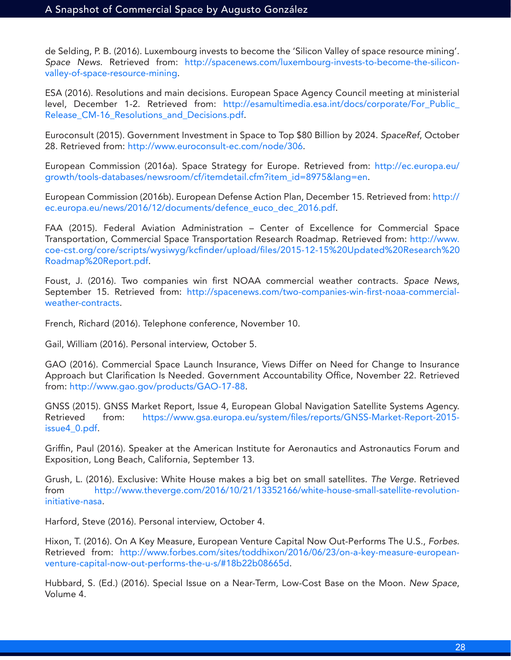de Selding, P. B. (2016). Luxembourg invests to become the 'Silicon Valley of space resource mining'. *Space News*. Retrieved from: http://spacenews.com/luxembourg-invests-to-become-the-siliconvalley-of-space-resource-mining.

ESA (2016). Resolutions and main decisions. European Space Agency Council meeting at ministerial level, December 1-2. Retrieved from: http://esamultimedia.esa.int/docs/corporate/For\_Public\_ Release\_CM-16\_Resolutions\_and\_Decisions.pdf.

Euroconsult (2015). Government Investment in Space to Top \$80 Billion by 2024. *SpaceRef*, October 28. Retrieved from: http://www.euroconsult-ec.com/node/306.

European Commission (2016a). Space Strategy for Europe. Retrieved from: http://ec.europa.eu/ growth/tools-databases/newsroom/cf/itemdetail.cfm?item\_id=8975&lang=en.

European Commission (2016b). European Defense Action Plan, December 15. Retrieved from: http:// ec.europa.eu/news/2016/12/documents/defence\_euco\_dec\_2016.pdf.

FAA (2015). Federal Aviation Administration – Center of Excellence for Commercial Space Transportation, Commercial Space Transportation Research Roadmap. Retrieved from: http://www. coe-cst.org/core/scripts/wysiwyg/kcfinder/upload/files/2015-12-15%20Updated%20Research%20 Roadmap%20Report.pdf.

Foust, J. (2016). Two companies win first NOAA commercial weather contracts. *Space News*, September 15. Retrieved from: http://spacenews.com/two-companies-win-first-noaa-commercialweather-contracts.

French, Richard (2016). Telephone conference, November 10.

Gail, William (2016). Personal interview, October 5.

GAO (2016). Commercial Space Launch Insurance, Views Differ on Need for Change to Insurance Approach but Clarification Is Needed. Government Accountability Office, November 22. Retrieved from: http://www.gao.gov/products/GAO-17-88.

GNSS (2015). GNSS Market Report, Issue 4, European Global Navigation Satellite Systems Agency. Retrieved from: https://www.gsa.europa.eu/system/files/reports/GNSS-Market-Report-2015issue4\_0.pdf.

Griffin, Paul (2016). Speaker at the American Institute for Aeronautics and Astronautics Forum and Exposition, Long Beach, California, September 13.

Grush, L. (2016). Exclusive: White House makes a big bet on small satellites. *The Verge*. Retrieved from http://www.theverge.com/2016/10/21/13352166/white-house-small-satellite-revolutioninitiative-nasa.

Harford, Steve (2016). Personal interview, October 4.

Hixon, T. (2016). On A Key Measure, European Venture Capital Now Out-Performs The U.S., *Forbes*. Retrieved from: http://www.forbes.com/sites/toddhixon/2016/06/23/on-a-key-measure-europeanventure-capital-now-out-performs-the-u-s/#18b22b08665d.

Hubbard, S. (Ed.) (2016). Special Issue on a Near-Term, Low-Cost Base on the Moon. *New Space*, Volume 4.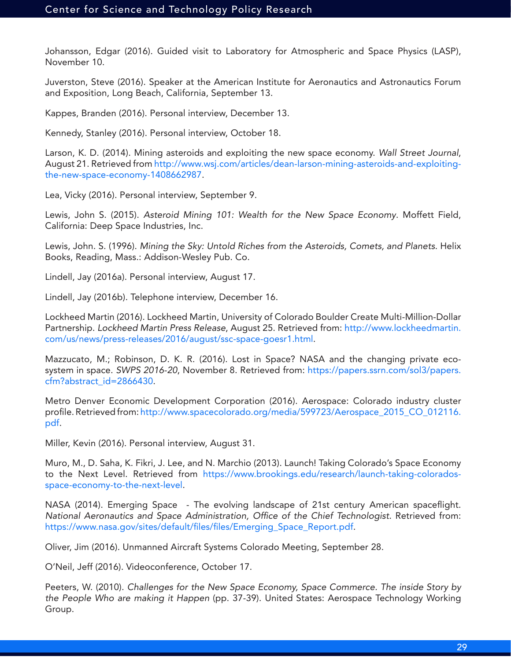Johansson, Edgar (2016). Guided visit to Laboratory for Atmospheric and Space Physics (LASP), November 10.

Juverston, Steve (2016). Speaker at the American Institute for Aeronautics and Astronautics Forum and Exposition, Long Beach, California, September 13.

Kappes, Branden (2016). Personal interview, December 13.

Kennedy, Stanley (2016). Personal interview, October 18.

Larson, K. D. (2014). Mining asteroids and exploiting the new space economy. *Wall Street Journal*, August 21. Retrieved from http://www.wsj.com/articles/dean-larson-mining-asteroids-and-exploitingthe-new-space-economy-1408662987.

Lea, Vicky (2016). Personal interview, September 9.

Lewis, John S. (2015). *Asteroid Mining 101: Wealth for the New Space Economy*. Moffett Field, California: Deep Space Industries, Inc.

Lewis, John. S. (1996). *Mining the Sky: Untold Riches from the Asteroids, Comets, and Planets*. Helix Books, Reading, Mass.: Addison-Wesley Pub. Co.

Lindell, Jay (2016a). Personal interview, August 17.

Lindell, Jay (2016b). Telephone interview, December 16.

Lockheed Martin (2016). Lockheed Martin, University of Colorado Boulder Create Multi-Million-Dollar Partnership. *Lockheed Martin Press Release*, August 25. Retrieved from: http://www.lockheedmartin. com/us/news/press-releases/2016/august/ssc-space-goesr1.html.

Mazzucato, M.; Robinson, D. K. R. (2016). Lost in Space? NASA and the changing private ecosystem in space. *SWPS 2016-20*, November 8. Retrieved from: https://papers.ssrn.com/sol3/papers. cfm?abstract\_id=2866430.

Metro Denver Economic Development Corporation (2016). Aerospace: Colorado industry cluster profile. Retrieved from: http://www.spacecolorado.org/media/599723/Aerospace\_2015\_CO\_012116. pdf.

Miller, Kevin (2016). Personal interview, August 31.

Muro, M., D. Saha, K. Fikri, J. Lee, and N. Marchio (2013). Launch! Taking Colorado's Space Economy to the Next Level. Retrieved from https://www.brookings.edu/research/launch-taking-coloradosspace-economy-to-the-next-level.

NASA (2014). Emerging Space - The evolving landscape of 21st century American spaceflight. National Aeronautics and Space Administration, Office of the Chief Technologist. Retrieved from: https://www.nasa.gov/sites/default/files/files/Emerging\_Space\_Report.pdf.

Oliver, Jim (2016). Unmanned Aircraft Systems Colorado Meeting, September 28.

O'Neil, Jeff (2016). Videoconference, October 17.

Peeters, W. (2010). *Challenges for the New Space Economy, Space Commerce. The inside Story by the People Who are making it Happen* (pp. 37-39). United States: Aerospace Technology Working Group.